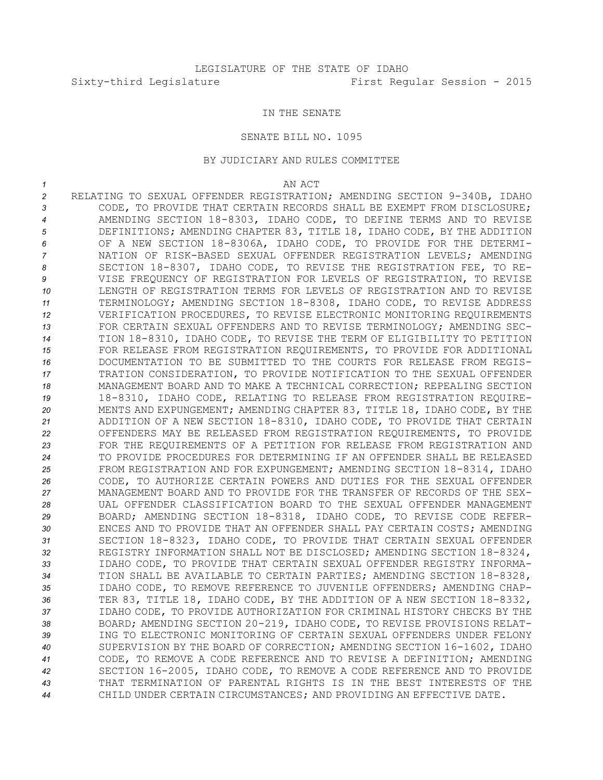## IN THE SENATE

## SENATE BILL NO. 1095

## BY JUDICIARY AND RULES COMMITTEE

*1* AN ACT

 RELATING TO SEXUAL OFFENDER REGISTRATION; AMENDING SECTION 9-340B, IDAHO CODE, TO PROVIDE THAT CERTAIN RECORDS SHALL BE EXEMPT FROM DISCLOSURE; AMENDING SECTION 18-8303, IDAHO CODE, TO DEFINE TERMS AND TO REVISE DEFINITIONS; AMENDING CHAPTER 83, TITLE 18, IDAHO CODE, BY THE ADDITION OF A NEW SECTION 18-8306A, IDAHO CODE, TO PROVIDE FOR THE DETERMI- NATION OF RISK-BASED SEXUAL OFFENDER REGISTRATION LEVELS; AMENDING SECTION 18-8307, IDAHO CODE, TO REVISE THE REGISTRATION FEE, TO RE- VISE FREQUENCY OF REGISTRATION FOR LEVELS OF REGISTRATION, TO REVISE LENGTH OF REGISTRATION TERMS FOR LEVELS OF REGISTRATION AND TO REVISE TERMINOLOGY; AMENDING SECTION 18-8308, IDAHO CODE, TO REVISE ADDRESS VERIFICATION PROCEDURES, TO REVISE ELECTRONIC MONITORING REQUIREMENTS FOR CERTAIN SEXUAL OFFENDERS AND TO REVISE TERMINOLOGY; AMENDING SEC- TION 18-8310, IDAHO CODE, TO REVISE THE TERM OF ELIGIBILITY TO PETITION 15 FOR RELEASE FROM REGISTRATION REQUIREMENTS, TO PROVIDE FOR ADDITIONAL DOCUMENTATION TO BE SUBMITTED TO THE COURTS FOR RELEASE FROM REGIS- TRATION CONSIDERATION, TO PROVIDE NOTIFICATION TO THE SEXUAL OFFENDER MANAGEMENT BOARD AND TO MAKE A TECHNICAL CORRECTION; REPEALING SECTION 18-8310, IDAHO CODE, RELATING TO RELEASE FROM REGISTRATION REQUIRE- MENTS AND EXPUNGEMENT; AMENDING CHAPTER 83, TITLE 18, IDAHO CODE, BY THE ADDITION OF A NEW SECTION 18-8310, IDAHO CODE, TO PROVIDE THAT CERTAIN OFFENDERS MAY BE RELEASED FROM REGISTRATION REQUIREMENTS, TO PROVIDE FOR THE REQUIREMENTS OF A PETITION FOR RELEASE FROM REGISTRATION AND TO PROVIDE PROCEDURES FOR DETERMINING IF AN OFFENDER SHALL BE RELEASED FROM REGISTRATION AND FOR EXPUNGEMENT; AMENDING SECTION 18-8314, IDAHO CODE, TO AUTHORIZE CERTAIN POWERS AND DUTIES FOR THE SEXUAL OFFENDER MANAGEMENT BOARD AND TO PROVIDE FOR THE TRANSFER OF RECORDS OF THE SEX- UAL OFFENDER CLASSIFICATION BOARD TO THE SEXUAL OFFENDER MANAGEMENT BOARD; AMENDING SECTION 18-8318, IDAHO CODE, TO REVISE CODE REFER- ENCES AND TO PROVIDE THAT AN OFFENDER SHALL PAY CERTAIN COSTS; AMENDING SECTION 18-8323, IDAHO CODE, TO PROVIDE THAT CERTAIN SEXUAL OFFENDER REGISTRY INFORMATION SHALL NOT BE DISCLOSED; AMENDING SECTION 18-8324, IDAHO CODE, TO PROVIDE THAT CERTAIN SEXUAL OFFENDER REGISTRY INFORMA- TION SHALL BE AVAILABLE TO CERTAIN PARTIES; AMENDING SECTION 18-8328, IDAHO CODE, TO REMOVE REFERENCE TO JUVENILE OFFENDERS; AMENDING CHAP- TER 83, TITLE 18, IDAHO CODE, BY THE ADDITION OF A NEW SECTION 18-8332, IDAHO CODE, TO PROVIDE AUTHORIZATION FOR CRIMINAL HISTORY CHECKS BY THE BOARD; AMENDING SECTION 20-219, IDAHO CODE, TO REVISE PROVISIONS RELAT- ING TO ELECTRONIC MONITORING OF CERTAIN SEXUAL OFFENDERS UNDER FELONY SUPERVISION BY THE BOARD OF CORRECTION; AMENDING SECTION 16-1602, IDAHO CODE, TO REMOVE A CODE REFERENCE AND TO REVISE A DEFINITION; AMENDING SECTION 16-2005, IDAHO CODE, TO REMOVE A CODE REFERENCE AND TO PROVIDE THAT TERMINATION OF PARENTAL RIGHTS IS IN THE BEST INTERESTS OF THE CHILD UNDER CERTAIN CIRCUMSTANCES; AND PROVIDING AN EFFECTIVE DATE.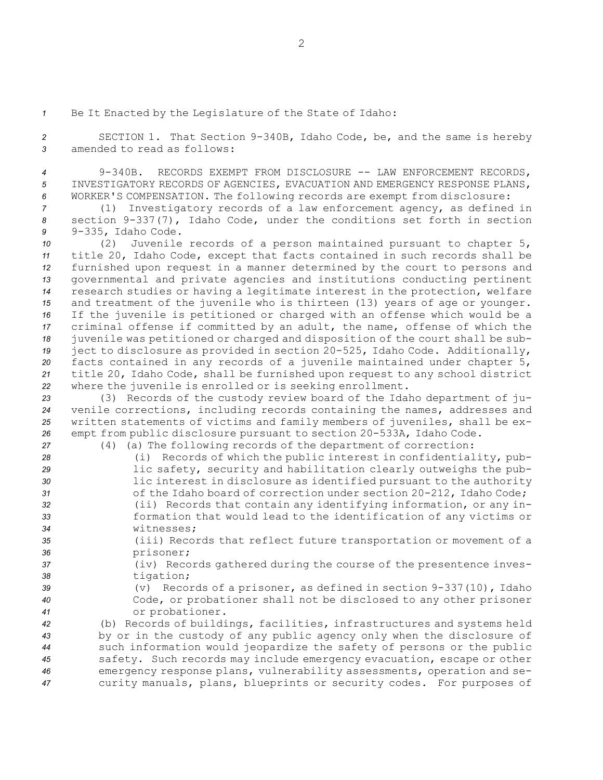*<sup>1</sup>* Be It Enacted by the Legislature of the State of Idaho:

*<sup>2</sup>* SECTION 1. That Section 9-340B, Idaho Code, be, and the same is hereby *3* amended to read as follows:

*<sup>4</sup>* 9-340B. RECORDS EXEMPT FROM DISCLOSURE -- LAW ENFORCEMENT RECORDS, *5* INVESTIGATORY RECORDS OF AGENCIES, EVACUATION AND EMERGENCY RESPONSE PLANS, *<sup>6</sup>* WORKER'S COMPENSATION. The following records are exempt from disclosure:

*<sup>7</sup>* (1) Investigatory records of <sup>a</sup> law enforcement agency, as defined in *<sup>8</sup>* section 9-337(7), Idaho Code, under the conditions set forth in section *<sup>9</sup>* 9-335, Idaho Code.

 (2) Juvenile records of <sup>a</sup> person maintained pursuant to chapter 5, title 20, Idaho Code, except that facts contained in such records shall be furnished upon request in <sup>a</sup> manner determined by the court to persons and governmental and private agencies and institutions conducting pertinent research studies or having <sup>a</sup> legitimate interest in the protection, welfare and treatment of the juvenile who is thirteen (13) years of age or younger. If the juvenile is petitioned or charged with an offense which would be <sup>a</sup> criminal offense if committed by an adult, the name, offense of which the juvenile was petitioned or charged and disposition of the court shall be sub- ject to disclosure as provided in section 20-525, Idaho Code. Additionally, facts contained in any records of <sup>a</sup> juvenile maintained under chapter 5, title 20, Idaho Code, shall be furnished upon request to any school district where the juvenile is enrolled or is seeking enrollment.

 (3) Records of the custody review board of the Idaho department of ju- venile corrections, including records containing the names, addresses and written statements of victims and family members of juveniles, shall be ex-empt from public disclosure pursuant to section 20-533A, Idaho Code.

- *<sup>27</sup>* (4) (a) The following records of the department of correction:
- *<sup>28</sup>* (i) Records of which the public interest in confidentiality, pub-*<sup>29</sup>* lic safety, security and habilitation clearly outweighs the pub-*<sup>30</sup>* lic interest in disclosure as identified pursuant to the authority 31 of the Idaho board of correction under section 20-212, Idaho Code; *<sup>32</sup>* (ii) Records that contain any identifying information, or any in-*<sup>33</sup>* formation that would lead to the identification of any victims or *34* witnesses;
- *<sup>35</sup>* (iii) Records that reflect future transportation or movement of <sup>a</sup> *<sup>36</sup>* prisoner;
- 
- *<sup>37</sup>* (iv) Records gathered during the course of the presentence inves-*<sup>38</sup>* tigation;
- *<sup>39</sup>* (v) Records of <sup>a</sup> prisoner, as defined in section 9-337(10), Idaho *<sup>40</sup>* Code, or probationer shall not be disclosed to any other prisoner *<sup>41</sup>* or probationer.

 (b) Records of buildings, facilities, infrastructures and systems held by or in the custody of any public agency only when the disclosure of such information would jeopardize the safety of persons or the public safety. Such records may include emergency evacuation, escape or other emergency response plans, vulnerability assessments, operation and se-curity manuals, plans, blueprints or security codes. For purposes of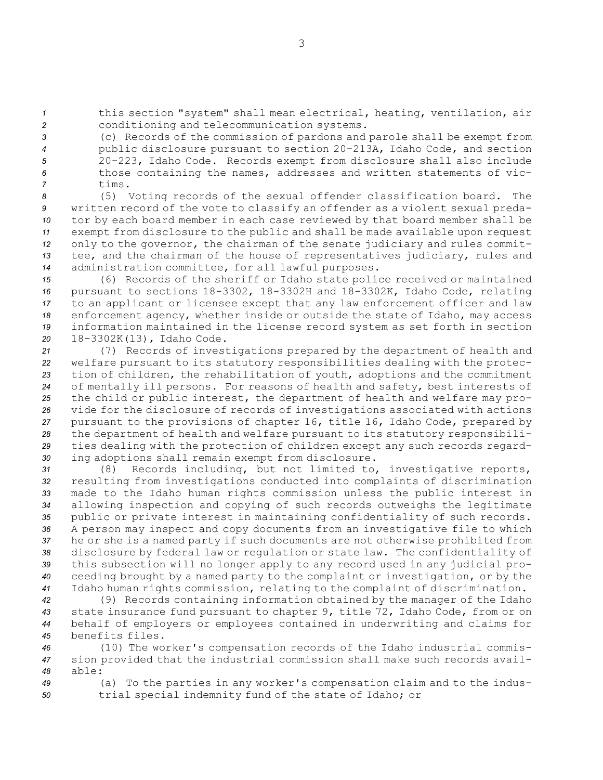*<sup>1</sup>* this section "system" shall mean electrical, heating, ventilation, air *<sup>2</sup>* conditioning and telecommunication systems.

 (c) Records of the commission of pardons and parole shall be exempt from public disclosure pursuant to section 20-213A, Idaho Code, and section 20-223, Idaho Code. Records exempt from disclosure shall also include those containing the names, addresses and written statements of vic-*7* tims.

 (5) Voting records of the sexual offender classification board. The written record of the vote to classify an offender as <sup>a</sup> violent sexual preda- tor by each board member in each case reviewed by that board member shall be exempt from disclosure to the public and shall be made available upon request only to the governor, the chairman of the senate judiciary and rules commit- tee, and the chairman of the house of representatives judiciary, rules and administration committee, for all lawful purposes.

 (6) Records of the sheriff or Idaho state police received or maintained pursuant to sections 18-3302, 18-3302H and 18-3302K, Idaho Code, relating to an applicant or licensee except that any law enforcement officer and law enforcement agency, whether inside or outside the state of Idaho, may access information maintained in the license record system as set forth in section 18-3302K(13), Idaho Code.

 (7) Records of investigations prepared by the department of health and welfare pursuant to its statutory responsibilities dealing with the protec- tion of children, the rehabilitation of youth, adoptions and the commitment of mentally ill persons. For reasons of health and safety, best interests of the child or public interest, the department of health and welfare may pro- vide for the disclosure of records of investigations associated with actions pursuant to the provisions of chapter 16, title 16, Idaho Code, prepared by the department of health and welfare pursuant to its statutory responsibili- ties dealing with the protection of children except any such records regard-ing adoptions shall remain exempt from disclosure.

 (8) Records including, but not limited to, investigative reports, resulting from investigations conducted into complaints of discrimination made to the Idaho human rights commission unless the public interest in allowing inspection and copying of such records outweighs the legitimate public or private interest in maintaining confidentiality of such records. <sup>A</sup> person may inspect and copy documents from an investigative file to which he or she is <sup>a</sup> named party if such documents are not otherwise prohibited from disclosure by federal law or regulation or state law. The confidentiality of this subsection will no longer apply to any record used in any judicial pro- ceeding brought by <sup>a</sup> named party to the complaint or investigation, or by the Idaho human rights commission, relating to the complaint of discrimination.

 (9) Records containing information obtained by the manager of the Idaho state insurance fund pursuant to chapter 9, title 72, Idaho Code, from or on behalf of employers or employees contained in underwriting and claims for benefits files.

*<sup>46</sup>* (10) The worker's compensation records of the Idaho industrial commis-*<sup>47</sup>* sion provided that the industrial commission shall make such records avail-*48* able:

*<sup>49</sup>* (a) To the parties in any worker's compensation claim and to the indus-*<sup>50</sup>* trial special indemnity fund of the state of Idaho; or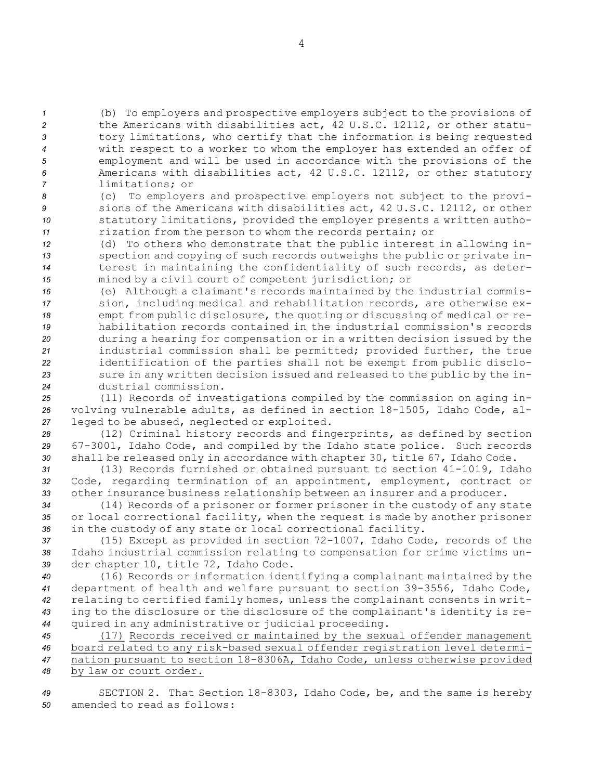(b) To employers and prospective employers subject to the provisions of the Americans with disabilities act, 42 U.S.C. 12112, or other statu- tory limitations, who certify that the information is being requested with respect to <sup>a</sup> worker to whom the employer has extended an offer of employment and will be used in accordance with the provisions of the Americans with disabilities act, 42 U.S.C. 12112, or other statutory limitations; or

 (c) To employers and prospective employers not subject to the provi- sions of the Americans with disabilities act, 42 U.S.C. 12112, or other statutory limitations, provided the employer presents <sup>a</sup> written autho-rization from the person to whom the records pertain; or

 (d) To others who demonstrate that the public interest in allowing in- spection and copying of such records outweighs the public or private in- terest in maintaining the confidentiality of such records, as deter-mined by <sup>a</sup> civil court of competent jurisdiction; or

 (e) Although <sup>a</sup> claimant's records maintained by the industrial commis- sion, including medical and rehabilitation records, are otherwise ex- empt from public disclosure, the quoting or discussing of medical or re- habilitation records contained in the industrial commission's records during <sup>a</sup> hearing for compensation or in <sup>a</sup> written decision issued by the industrial commission shall be permitted; provided further, the true identification of the parties shall not be exempt from public disclo- sure in any written decision issued and released to the public by the in-dustrial commission.

*<sup>25</sup>* (11) Records of investigations compiled by the commission on aging in-*<sup>26</sup>* volving vulnerable adults, as defined in section 18-1505, Idaho Code, al-*<sup>27</sup>* leged to be abused, neglected or exploited.

*<sup>28</sup>* (12) Criminal history records and fingerprints, as defined by section *<sup>29</sup>* 67-3001, Idaho Code, and compiled by the Idaho state police. Such records *<sup>30</sup>* shall be released only in accordance with chapter 30, title 67, Idaho Code.

*<sup>31</sup>* (13) Records furnished or obtained pursuant to section 41-1019, Idaho *<sup>32</sup>* Code, regarding termination of an appointment, employment, contract or *<sup>33</sup>* other insurance business relationship between an insurer and <sup>a</sup> producer.

*<sup>34</sup>* (14) Records of <sup>a</sup> prisoner or former prisoner in the custody of any state *<sup>35</sup>* or local correctional facility, when the request is made by another prisoner *<sup>36</sup>* in the custody of any state or local correctional facility.

*<sup>37</sup>* (15) Except as provided in section 72-1007, Idaho Code, records of the *<sup>38</sup>* Idaho industrial commission relating to compensation for crime victims un-*<sup>39</sup>* der chapter 10, title 72, Idaho Code.

 (16) Records or information identifying <sup>a</sup> complainant maintained by the department of health and welfare pursuant to section 39-3556, Idaho Code, relating to certified family homes, unless the complainant consents in writ- ing to the disclosure or the disclosure of the complainant's identity is re-quired in any administrative or judicial proceeding.

 (17) Records received or maintained by the sexual offender management board related to any risk-based sexual offender registration level determi- nation pursuant to section 18-8306A, Idaho Code, unless otherwise provided by law or court order.

*<sup>49</sup>* SECTION 2. That Section 18-8303, Idaho Code, be, and the same is hereby *50* amended to read as follows: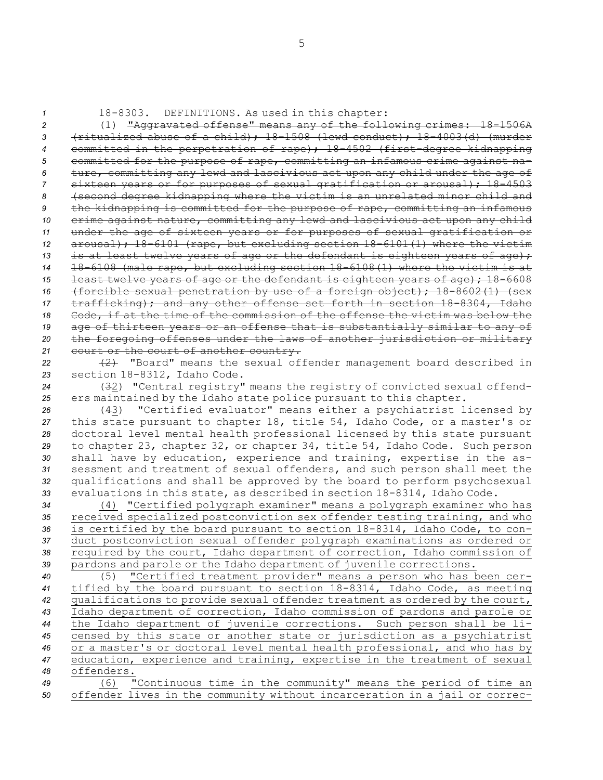*<sup>1</sup>* 18-8303. DEFINITIONS. As used in this chapter:

 (1) "Aggravated offense" means any of the following crimes: 18-1506A (ritualized abuse of <sup>a</sup> child); 18-1508 (lewd conduct); 18-4003(d) (murder committed in the perpetration of rape); 18-4502 (first-degree kidnapping committed for the purpose of rape, committing an infamous crime against na- ture, committing any lewd and lascivious act upon any child under the age of sixteen years or for purposes of sexual gratification or arousal); 18-4503 (second degree kidnapping where the victim is an unrelated minor child and the kidnapping is committed for the purpose of rape, committing an infamous crime against nature, committing any lewd and lascivious act upon any child under the age of sixteen years or for purposes of sexual gratification or arousal); 18-6101 (rape, but excluding section 18-6101(1) where the victim 13 is at least twelve years of age or the defendant is eighteen years of age); 18-6108 (male rape, but excluding section 18-6108(1) where the victim is at least twelve years of age or the defendant is eighteen years of age); 18-6608 (forcible sexual penetration by use of <sup>a</sup> foreign object); 18-8602(1) (sex trafficking); and any other offense set forth in section 18-8304, Idaho Code, if at the time of the commission of the offense the victim was below the age of thirteen years or an offense that is substantially similar to any of the foregoing offenses under the laws of another jurisdiction or military 21 court or the court of another country.

*<sup>22</sup>* (2) "Board" means the sexual offender management board described in *<sup>23</sup>* section 18-8312, Idaho Code.

*<sup>24</sup>* (32) "Central registry" means the registry of convicted sexual offend-*<sup>25</sup>* ers maintained by the Idaho state police pursuant to this chapter.

 (43) "Certified evaluator" means either <sup>a</sup> psychiatrist licensed by this state pursuant to chapter 18, title 54, Idaho Code, or <sup>a</sup> master's or doctoral level mental health professional licensed by this state pursuant to chapter 23, chapter 32, or chapter 34, title 54, Idaho Code. Such person shall have by education, experience and training, expertise in the as- sessment and treatment of sexual offenders, and such person shall meet the qualifications and shall be approved by the board to perform psychosexual evaluations in this state, as described in section 18-8314, Idaho Code.

 (4) "Certified polygraph examiner" means <sup>a</sup> polygraph examiner who has received specialized postconviction sex offender testing training, and who is certified by the board pursuant to section 18-8314, Idaho Code, to con- duct postconviction sexual offender polygraph examinations as ordered or required by the court, Idaho department of correction, Idaho commission of pardons and parole or the Idaho department of juvenile corrections.

 (5) "Certified treatment provider" means <sup>a</sup> person who has been cer- tified by the board pursuant to section 18-8314, Idaho Code, as meeting qualifications to provide sexual offender treatment as ordered by the court, Idaho department of correction, Idaho commission of pardons and parole or the Idaho department of juvenile corrections. Such person shall be li- censed by this state or another state or jurisdiction as <sup>a</sup> psychiatrist or <sup>a</sup> master's or doctoral level mental health professional, and who has by education, experience and training, expertise in the treatment of sexual offenders.

*<sup>49</sup>* (6) "Continuous time in the community" means the period of time an *<sup>50</sup>* offender lives in the community without incarceration in <sup>a</sup> jail or correc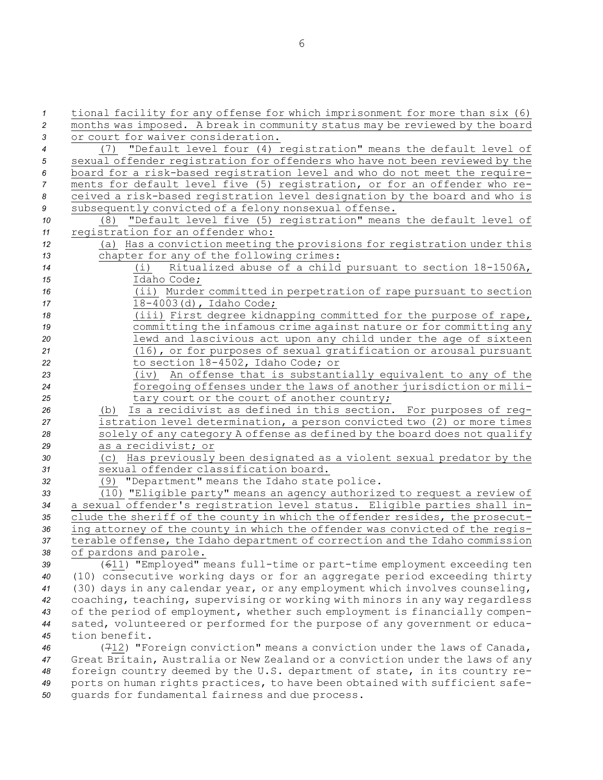tional facility for any offense for which imprisonment for more than six (6) months was imposed. <sup>A</sup> break in community status may be reviewed by the board or court for waiver consideration. (7) "Default level four (4) registration" means the default level of sexual offender registration for offenders who have not been reviewed by the board for <sup>a</sup> risk-based registration level and who do not meet the require- ments for default level five (5) registration, or for an offender who re- ceived <sup>a</sup> risk-based registration level designation by the board and who is subsequently convicted of <sup>a</sup> felony nonsexual offense. (8) "Default level five (5) registration" means the default level of registration for an offender who: (a) Has <sup>a</sup> conviction meeting the provisions for registration under this chapter for any of the following crimes: (i) Ritualized abuse of <sup>a</sup> child pursuant to section 18-1506A, Idaho Code; (ii) Murder committed in perpetration of rape pursuant to section 18-4003(d), Idaho Code; (iii) First degree kidnapping committed for the purpose of rape, committing the infamous crime against nature or for committing any lewd and lascivious act upon any child under the age of sixteen (16), or for purposes of sexual gratification or arousal pursuant to section 18-4502, Idaho Code; or (iv) An offense that is substantially equivalent to any of the foregoing offenses under the laws of another jurisdiction or mili-25 tary court or the court of another country; (b) Is <sup>a</sup> recidivist as defined in this section. For purposes of reg- istration level determination, <sup>a</sup> person convicted two (2) or more times solely of any category <sup>A</sup> offense as defined by the board does not qualify as <sup>a</sup> recidivist; or (c) Has previously been designated as <sup>a</sup> violent sexual predator by the sexual offender classification board. (9) "Department" means the Idaho state police. (10) "Eligible party" means an agency authorized to request <sup>a</sup> review of <sup>a</sup> sexual offender's registration level status. Eligible parties shall in- clude the sheriff of the county in which the offender resides, the prosecut- ing attorney of the county in which the offender was convicted of the regis- terable offense, the Idaho department of correction and the Idaho commission of pardons and parole. (611) "Employed" means full-time or part-time employment exceeding ten (10) consecutive working days or for an aggregate period exceeding thirty (30) days in any calendar year, or any employment which involves counseling, coaching, teaching, supervising or working with minors in any way regardless of the period of employment, whether such employment is financially compen- sated, volunteered or performed for the purpose of any government or educa- tion benefit. (712) "Foreign conviction" means <sup>a</sup> conviction under the laws of Canada, Great Britain, Australia or New Zealand or <sup>a</sup> conviction under the laws of any foreign country deemed by the U.S. department of state, in its country re-ports on human rights practices, to have been obtained with sufficient safe-

*<sup>50</sup>* guards for fundamental fairness and due process.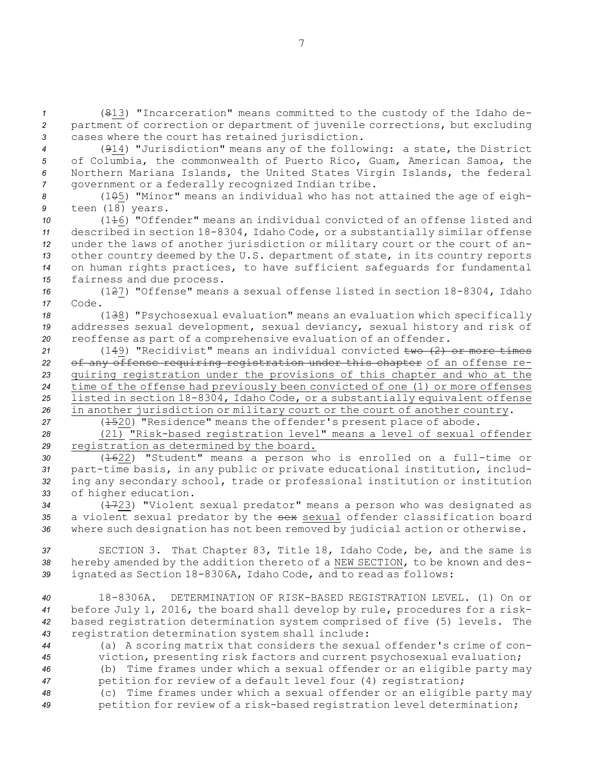*<sup>1</sup>* (813) "Incarceration" means committed to the custody of the Idaho de-*<sup>2</sup>* partment of correction or department of juvenile corrections, but excluding *<sup>3</sup>* cases where the court has retained jurisdiction.

 (914) "Jurisdiction" means any of the following: <sup>a</sup> state, the District of Columbia, the commonwealth of Puerto Rico, Guam, American Samoa, the Northern Mariana Islands, the United States Virgin Islands, the federal government or <sup>a</sup> federally recognized Indian tribe.

8 (1<del>0</del>5) "Minor" means an individual who has not attained the age of eigh-*<sup>9</sup>* teen (18) years.

 (116) "Offender" means an individual convicted of an offense listed and described in section 18-8304, Idaho Code, or <sup>a</sup> substantially similar offense under the laws of another jurisdiction or military court or the court of an- other country deemed by the U.S. department of state, in its country reports on human rights practices, to have sufficient safeguards for fundamental fairness and due process.

*<sup>16</sup>* (127) "Offense" means <sup>a</sup> sexual offense listed in section 18-8304, Idaho *17* Code.

*<sup>18</sup>* (138) "Psychosexual evaluation" means an evaluation which specifically *<sup>19</sup>* addresses sexual development, sexual deviancy, sexual history and risk of *<sup>20</sup>* reoffense as part of <sup>a</sup> comprehensive evaluation of an offender.

 (149) "Recidivist" means an individual convicted two (2) or more times of any offense requiring registration under this chapter of an offense re- quiring registration under the provisions of this chapter and who at the time of the offense had previously been convicted of one (1) or more offenses listed in section 18-8304, Idaho Code, or <sup>a</sup> substantially equivalent offense in another jurisdiction or military court or the court of another country.

*<sup>27</sup>* (1520) "Residence" means the offender's present place of abode.

*<sup>28</sup>* (21) "Risk-based registration level" means <sup>a</sup> level of sexual offender *<sup>29</sup>* registration as determined by the board.

 (1622) "Student" means <sup>a</sup> person who is enrolled on <sup>a</sup> full-time or part-time basis, in any public or private educational institution, includ- ing any secondary school, trade or professional institution or institution of higher education.

*<sup>34</sup>* (1723) "Violent sexual predator" means <sup>a</sup> person who was designated as *<sup>35</sup>* <sup>a</sup> violent sexual predator by the sex sexual offender classification board *<sup>36</sup>* where such designation has not been removed by judicial action or otherwise.

*<sup>37</sup>* SECTION 3. That Chapter 83, Title 18, Idaho Code, be, and the same is *<sup>38</sup>* hereby amended by the addition thereto of <sup>a</sup> NEW SECTION, to be known and des-*<sup>39</sup>* ignated as Section 18-8306A, Idaho Code, and to read as follows:

 18-8306A. DETERMINATION OF RISK-BASED REGISTRATION LEVEL. (1) On or before July 1, 2016, the board shall develop by rule, procedures for <sup>a</sup> risk- based registration determination system comprised of five (5) levels. The registration determination system shall include:

*<sup>44</sup>* (a) <sup>A</sup> scoring matrix that considers the sexual offender's crime of con-*<sup>45</sup>* viction, presenting risk factors and current psychosexual evaluation;

*<sup>46</sup>* (b) Time frames under which <sup>a</sup> sexual offender or an eligible party may *<sup>47</sup>* petition for review of <sup>a</sup> default level four (4) registration;

*<sup>48</sup>* (c) Time frames under which <sup>a</sup> sexual offender or an eligible party may *<sup>49</sup>* petition for review of <sup>a</sup> risk-based registration level determination;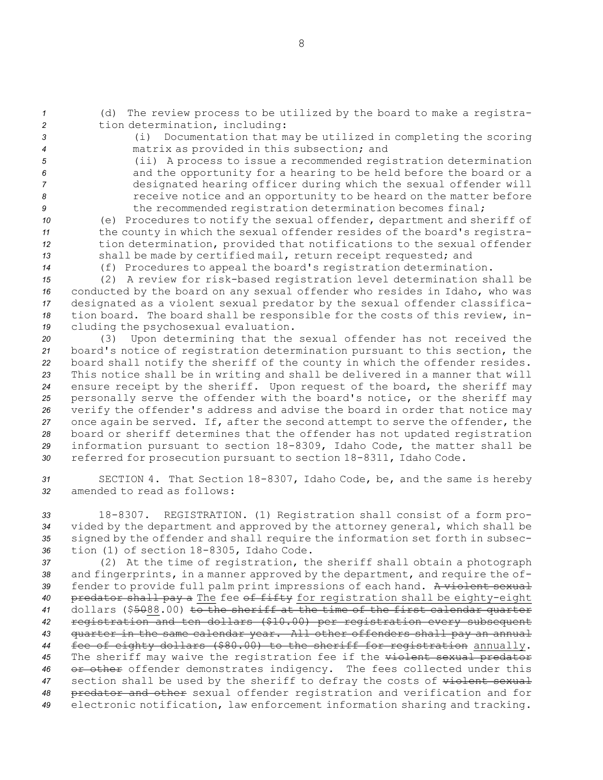- 
- 

*<sup>1</sup>* (d) The review process to be utilized by the board to make <sup>a</sup> registra-*<sup>2</sup>* tion determination, including:

*<sup>3</sup>* (i) Documentation that may be utilized in completing the scoring *<sup>4</sup>* matrix as provided in this subsection; and

 (ii) <sup>A</sup> process to issue <sup>a</sup> recommended registration determination and the opportunity for <sup>a</sup> hearing to be held before the board or <sup>a</sup> designated hearing officer during which the sexual offender will receive notice and an opportunity to be heard on the matter before the recommended registration determination becomes final;

 (e) Procedures to notify the sexual offender, department and sheriff of the county in which the sexual offender resides of the board's registra- tion determination, provided that notifications to the sexual offender shall be made by certified mail, return receipt requested; and

*<sup>14</sup>* (f) Procedures to appeal the board's registration determination.

 (2) <sup>A</sup> review for risk-based registration level determination shall be conducted by the board on any sexual offender who resides in Idaho, who was designated as <sup>a</sup> violent sexual predator by the sexual offender classifica- tion board. The board shall be responsible for the costs of this review, in-cluding the psychosexual evaluation.

 (3) Upon determining that the sexual offender has not received the board's notice of registration determination pursuant to this section, the board shall notify the sheriff of the county in which the offender resides. This notice shall be in writing and shall be delivered in <sup>a</sup> manner that will ensure receipt by the sheriff. Upon request of the board, the sheriff may personally serve the offender with the board's notice, or the sheriff may verify the offender's address and advise the board in order that notice may once again be served. If, after the second attempt to serve the offender, the board or sheriff determines that the offender has not updated registration information pursuant to section 18-8309, Idaho Code, the matter shall be referred for prosecution pursuant to section 18-8311, Idaho Code.

*<sup>31</sup>* SECTION 4. That Section 18-8307, Idaho Code, be, and the same is hereby *32* amended to read as follows:

 18-8307. REGISTRATION. (1) Registration shall consist of <sup>a</sup> form pro- vided by the department and approved by the attorney general, which shall be signed by the offender and shall require the information set forth in subsec-tion (1) of section 18-8305, Idaho Code.

 (2) At the time of registration, the sheriff shall obtain <sup>a</sup> photograph and fingerprints, in <sup>a</sup> manner approved by the department, and require the of- fender to provide full palm print impressions of each hand. <sup>A</sup> violent sexual predator shall pay <sup>a</sup> The fee of fifty for registration shall be eighty-eight dollars (\$5088.00) to the sheriff at the time of the first calendar quarter registration and ten dollars (\$10.00) per registration every subsequent quarter in the same calendar year. All other offenders shall pay an annual fee of eighty dollars (\$80.00) to the sheriff for registration annually. The sheriff may waive the registration fee if the violent sexual predator 46 or other offender demonstrates indigency. The fees collected under this 47 section shall be used by the sheriff to defray the costs of wiolent sexual predator and other sexual offender registration and verification and for electronic notification, law enforcement information sharing and tracking.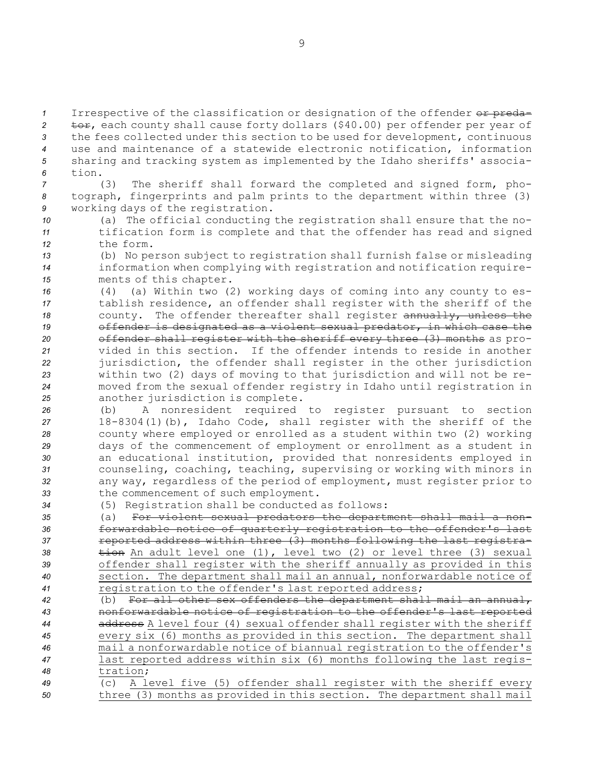1 Irrespective of the classification or designation of the offender or preda-2 tor, each county shall cause forty dollars (\$40.00) per offender per year of *<sup>3</sup>* the fees collected under this section to be used for development, continuous *<sup>4</sup>* use and maintenance of <sup>a</sup> statewide electronic notification, information *<sup>5</sup>* sharing and tracking system as implemented by the Idaho sheriffs' associa-*6* tion.

*<sup>7</sup>* (3) The sheriff shall forward the completed and signed form, pho-*<sup>8</sup>* tograph, fingerprints and palm prints to the department within three (3) *<sup>9</sup>* working days of the registration.

- *<sup>10</sup>* (a) The official conducting the registration shall ensure that the no-*<sup>11</sup>* tification form is complete and that the offender has read and signed *12* the form.
- *<sup>13</sup>* (b) No person subject to registration shall furnish false or misleading *<sup>14</sup>* information when complying with registration and notification require-*<sup>15</sup>* ments of this chapter.
- *<sup>16</sup>* (4) (a) Within two (2) working days of coming into any county to es-*<sup>17</sup>* tablish residence, an offender shall register with the sheriff of the 18 county. The offender thereafter shall register annually, unless the *<sup>19</sup>* offender is designated as <sup>a</sup> violent sexual predator, in which case the *<sup>20</sup>* offender shall register with the sheriff every three (3) months as pro-*21* vided in this section. If the offender intends to reside in another *<sup>22</sup>* jurisdiction, the offender shall register in the other jurisdiction *<sup>23</sup>* within two (2) days of moving to that jurisdiction and will not be re-*<sup>24</sup>* moved from the sexual offender registry in Idaho until registration in *<sup>25</sup>* another jurisdiction is complete.
- *<sup>26</sup>* (b) <sup>A</sup> nonresident required to register pursuant to section *<sup>27</sup>* 18-8304(1)(b), Idaho Code, shall register with the sheriff of the *<sup>28</sup>* county where employed or enrolled as <sup>a</sup> student within two (2) working *<sup>29</sup>* days of the commencement of employment or enrollment as <sup>a</sup> student in *<sup>30</sup>* an educational institution, provided that nonresidents employed in *<sup>31</sup>* counseling, coaching, teaching, supervising or working with minors in *<sup>32</sup>* any way, regardless of the period of employment, must register prior to *<sup>33</sup>* the commencement of such employment.
- *<sup>34</sup>* (5) Registration shall be conducted as follows:
- *<sup>35</sup>* (a) For violent sexual predators the department shall mail <sup>a</sup> non-*<sup>36</sup>* forwardable notice of quarterly registration to the offender's last 37 **reported address within three (3) months following the last registra-**38 tion An adult level one (1), level two (2) or level three (3) sexual *<sup>39</sup>* offender shall register with the sheriff annually as provided in this *<sup>40</sup>* section. The department shall mail an annual, nonforwardable notice of *<sup>41</sup>* registration to the offender's last reported address;
- *<sup>42</sup>* (b) For all other sex offenders the department shall mail an annual, *<sup>43</sup>* nonforwardable notice of registration to the offender's last reported *<sup>44</sup>* address <sup>A</sup> level four (4) sexual offender shall register with the sheriff *<sup>45</sup>* every six (6) months as provided in this section. The department shall *<sup>46</sup>* mail <sup>a</sup> nonforwardable notice of biannual registration to the offender's *<sup>47</sup>* last reported address within six (6) months following the last regis-*48* tration;
- *<sup>49</sup>* (c) <sup>A</sup> level five (5) offender shall register with the sheriff every *<sup>50</sup>* three (3) months as provided in this section. The department shall mail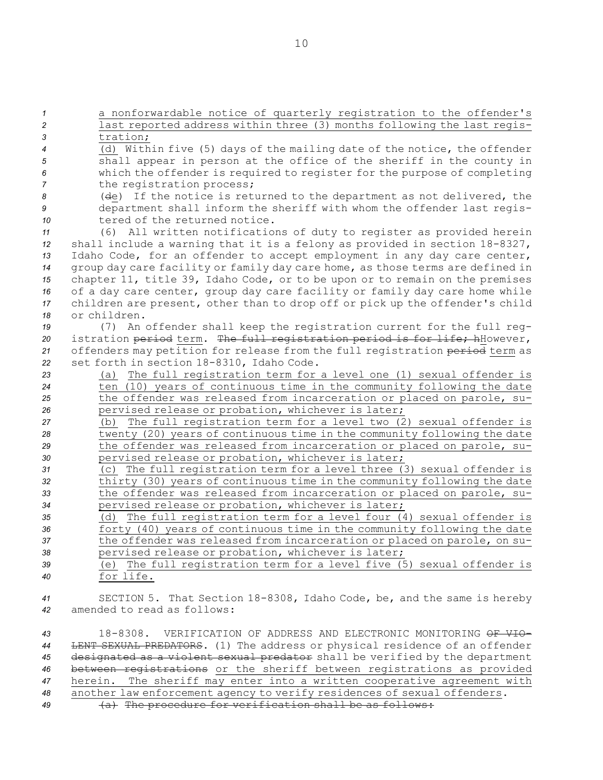<sup>a</sup> nonforwardable notice of quarterly registration to the offender's last reported address within three (3) months following the last regis-*3* tration; (d) Within five (5) days of the mailing date of the notice, the offender shall appear in person at the office of the sheriff in the county in which the offender is required to register for the purpose of completing the registration process; (de) If the notice is returned to the department as not delivered, the department shall inform the sheriff with whom the offender last regis-10 tered of the returned notice. (6) All written notifications of duty to register as provided herein shall include <sup>a</sup> warning that it is <sup>a</sup> felony as provided in section 18-8327, Idaho Code, for an offender to accept employment in any day care center, group day care facility or family day care home, as those terms are defined in chapter 11, title 39, Idaho Code, or to be upon or to remain on the premises of <sup>a</sup> day care center, group day care facility or family day care home while children are present, other than to drop off or pick up the offender's child or children. (7) An offender shall keep the registration current for the full reg- istration period term. The full registration period is for life; hHowever, offenders may petition for release from the full registration period term as set forth in section 18-8310, Idaho Code. (a) The full registration term for <sup>a</sup> level one (1) sexual offender is ten (10) years of continuous time in the community following the date the offender was released from incarceration or placed on parole, su- pervised release or probation, whichever is later; (b) The full registration term for <sup>a</sup> level two (2) sexual offender is twenty (20) years of continuous time in the community following the date the offender was released from incarceration or placed on parole, su- pervised release or probation, whichever is later; (c) The full registration term for <sup>a</sup> level three (3) sexual offender is thirty (30) years of continuous time in the community following the date the offender was released from incarceration or placed on parole, su- pervised release or probation, whichever is later; (d) The full registration term for <sup>a</sup> level four (4) sexual offender is **forty (40)** years of continuous time in the community following the date the offender was released from incarceration or placed on parole, on su- pervised release or probation, whichever is later; (e) The full registration term for <sup>a</sup> level five (5) sexual offender is for life. SECTION 5. That Section 18-8308, Idaho Code, be, and the same is hereby amended to read as follows: 18-8308. VERIFICATION OF ADDRESS AND ELECTRONIC MONITORING OF VIO- LENT SEXUAL PREDATORS. (1) The address or physical residence of an offender designated as <sup>a</sup> violent sexual predator shall be verified by the department

*<sup>46</sup>* between registrations or the sheriff between registrations as provided *<sup>47</sup>* herein. The sheriff may enter into <sup>a</sup> written cooperative agreement with *<sup>48</sup>* another law enforcement agency to verify residences of sexual offenders.

*<sup>49</sup>* (a) The procedure for verification shall be as follows: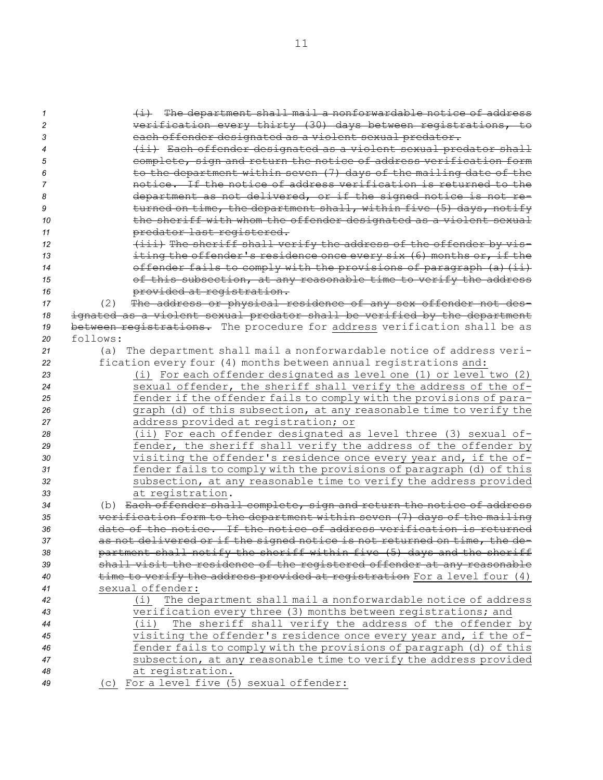| $\mathcal I$ | (i) The department shall mail a nonforwardable notice of address                                                                   |
|--------------|------------------------------------------------------------------------------------------------------------------------------------|
| 2            | verification every thirty (30) days between registrations, to                                                                      |
| 3            | each offender designated as a violent sexual predator.                                                                             |
| 4            | (ii) Each offender designated as a violent sexual predator shall                                                                   |
| 5            | complete, sign and return the notice of address verification form                                                                  |
| 6            | to the department within seven (7) days of the mailing date of the                                                                 |
| 7            | notice. If the notice of address verification is returned to the                                                                   |
| 8            | department as not delivered, or if the signed notice is not re-                                                                    |
| 9            | turned on time, the department shall, within five (5) days, notify                                                                 |
| 10           | the sheriff with whom the offender designated as a violent sexual                                                                  |
| 11           | predator last registered.                                                                                                          |
| 12           | (iii) The sheriff shall verify the address of the offender by vis-                                                                 |
| 13           | iting the offender's residence once every six (6) months or, if the                                                                |
| 14           | offender fails to comply with the provisions of paragraph (a) (ii)                                                                 |
| 15           | of this subsection, at any reasonable time to verify the address                                                                   |
| 16           | provided at registration.                                                                                                          |
| 17           | The address or physical residence of any sex offender not des-<br>(2)                                                              |
| 18           | ignated as a violent sexual predator shall be verified by the department                                                           |
| 19           | between registrations. The procedure for address verification shall be as                                                          |
| 20           | follows:                                                                                                                           |
| 21           | (a) The department shall mail a nonforwardable notice of address veri-                                                             |
| 22           | fication every four (4) months between annual registrations and:                                                                   |
| 23           | (i) For each offender designated as level one (1) or level two (2)                                                                 |
| 24           | sexual offender, the sheriff shall verify the address of the of-                                                                   |
| 25           | fender if the offender fails to comply with the provisions of para-                                                                |
| 26           | graph (d) of this subsection, at any reasonable time to verify the                                                                 |
| 27           | address provided at registration; or                                                                                               |
| 28           | (ii) For each offender designated as level three (3) sexual of-<br>fender, the sheriff shall verify the address of the offender by |
| 29           | visiting the offender's residence once every year and, if the of-                                                                  |
| 30           | fender fails to comply with the provisions of paragraph (d) of this                                                                |
| 31<br>32     | subsection, at any reasonable time to verify the address provided                                                                  |
| 33           | at registration.                                                                                                                   |
| 34           | (b) Each offender shall complete, sign and return the notice of address                                                            |
| 35           | verification form to the department within seven (7) days of the mailing                                                           |
| 36           | date of the notice. If the notice of address verification is returned                                                              |
| 37           | as not delivered or if the signed notice is not returned on time, the de-                                                          |
| 38           | partment shall notify the sheriff within five (5) days and the sheriff                                                             |
| 39           | shall visit the residence of the registered offender at any reasonable                                                             |
| 40           | time to verify the address provided at registration For a level four (4)                                                           |
| 41           | sexual offender:                                                                                                                   |
| 42           | The department shall mail a nonforwardable notice of address<br>(i)                                                                |
| 43           | verification every three (3) months between registrations; and                                                                     |
| 44           | The sheriff shall verify the address of the offender by<br>(i)                                                                     |
| 45           | visiting the offender's residence once every year and, if the of-                                                                  |
| 46           | fender fails to comply with the provisions of paragraph (d) of this                                                                |
| 47           | subsection, at any reasonable time to verify the address provided                                                                  |
| 48           | at registration.                                                                                                                   |
| 49           | (c) For a level five (5) sexual offender:                                                                                          |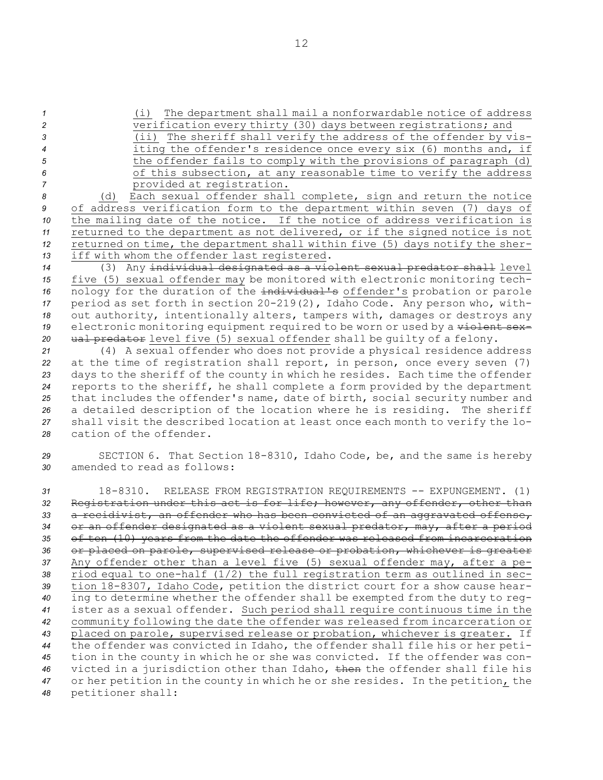- 
- 
- 
- 

*<sup>1</sup>* (i) The department shall mail <sup>a</sup> nonforwardable notice of address *<sup>2</sup>* verification every thirty (30) days between registrations; and

- *<sup>3</sup>* (ii) The sheriff shall verify the address of the offender by vis-*<sup>4</sup>* iting the offender's residence once every six (6) months and, if
- *<sup>5</sup>* the offender fails to comply with the provisions of paragraph (d) *<sup>6</sup>* of this subsection, at any reasonable time to verify the address *<sup>7</sup>* provided at registration.

 (d) Each sexual offender shall complete, sign and return the notice of address verification form to the department within seven (7) days of the mailing date of the notice. If the notice of address verification is returned to the department as not delivered, or if the signed notice is not returned on time, the department shall within five (5) days notify the sher-iff with whom the offender last registered.

 (3) Any individual designated as <sup>a</sup> violent sexual predator shall level five (5) sexual offender may be monitored with electronic monitoring tech- nology for the duration of the individual's offender's probation or parole period as set forth in section 20-219(2), Idaho Code. Any person who, with- out authority, intentionally alters, tampers with, damages or destroys any electronic monitoring equipment required to be worn or used by <sup>a</sup> violent sex-20 ual predator level five (5) sexual offender shall be quilty of a felony.

 (4) <sup>A</sup> sexual offender who does not provide <sup>a</sup> physical residence address at the time of registration shall report, in person, once every seven (7) days to the sheriff of the county in which he resides. Each time the offender reports to the sheriff, he shall complete <sup>a</sup> form provided by the department that includes the offender's name, date of birth, social security number and <sup>a</sup> detailed description of the location where he is residing. The sheriff shall visit the described location at least once each month to verify the lo-cation of the offender.

*<sup>29</sup>* SECTION 6. That Section 18-8310, Idaho Code, be, and the same is hereby *30* amended to read as follows:

 18-8310. RELEASE FROM REGISTRATION REQUIREMENTS -- EXPUNGEMENT. (1) Registration under this act is for life; however, any offender, other than <sup>a</sup> recidivist, an offender who has been convicted of an aggravated offense, or an offender designated as <sup>a</sup> violent sexual predator, may, after <sup>a</sup> period of ten (10) years from the date the offender was released from incarceration or placed on parole, supervised release or probation, whichever is greater Any offender other than <sup>a</sup> level five (5) sexual offender may, after <sup>a</sup> pe- riod equal to one-half (1/2) the full registration term as outlined in sec- tion 18-8307, Idaho Code, petition the district court for <sup>a</sup> show cause hear- ing to determine whether the offender shall be exempted from the duty to reg- ister as <sup>a</sup> sexual offender. Such period shall require continuous time in the community following the date the offender was released from incarceration or placed on parole, supervised release or probation, whichever is greater. If the offender was convicted in Idaho, the offender shall file his or her peti- tion in the county in which he or she was convicted. If the offender was con- victed in <sup>a</sup> jurisdiction other than Idaho, then the offender shall file his or her petition in the county in which he or she resides. In the petition, the petitioner shall: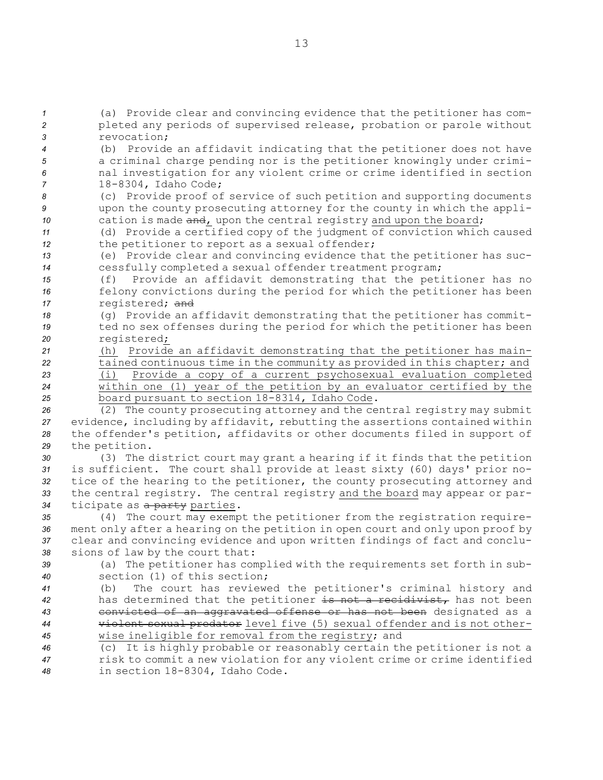(a) Provide clear and convincing evidence that the petitioner has com- pleted any periods of supervised release, probation or parole without revocation; (b) Provide an affidavit indicating that the petitioner does not have <sup>a</sup> criminal charge pending nor is the petitioner knowingly under crimi- nal investigation for any violent crime or crime identified in section 18-8304, Idaho Code; (c) Provide proof of service of such petition and supporting documents upon the county prosecuting attorney for the county in which the appli-10 cation is made and, upon the central registry and upon the board; (d) Provide <sup>a</sup> certified copy of the judgment of conviction which caused 12 the petitioner to report as a sexual offender; (e) Provide clear and convincing evidence that the petitioner has suc- cessfully completed <sup>a</sup> sexual offender treatment program; (f) Provide an affidavit demonstrating that the petitioner has no felony convictions during the period for which the petitioner has been registered; and (g) Provide an affidavit demonstrating that the petitioner has commit- ted no sex offenses during the period for which the petitioner has been registered; (h) Provide an affidavit demonstrating that the petitioner has main- tained continuous time in the community as provided in this chapter; and (i) Provide <sup>a</sup> copy of <sup>a</sup> current psychosexual evaluation completed within one (1) year of the petition by an evaluator certified by the board pursuant to section 18-8314, Idaho Code. (2) The county prosecuting attorney and the central registry may submit evidence, including by affidavit, rebutting the assertions contained within the offender's petition, affidavits or other documents filed in support of the petition. (3) The district court may grant <sup>a</sup> hearing if it finds that the petition is sufficient. The court shall provide at least sixty (60) days' prior no- tice of the hearing to the petitioner, the county prosecuting attorney and the central registry. The central registry and the board may appear or par- ticipate as <sup>a</sup> party parties. (4) The court may exempt the petitioner from the registration require- ment only after <sup>a</sup> hearing on the petition in open court and only upon proof by clear and convincing evidence and upon written findings of fact and conclu- sions of law by the court that: (a) The petitioner has complied with the requirements set forth in sub- section (1) of this section; (b) The court has reviewed the petitioner's criminal history and has determined that the petitioner is not <sup>a</sup> recidivist, has not been convicted of an aggravated offense or has not been designated as <sup>a</sup> violent sexual predator level five (5) sexual offender and is not other- wise ineligible for removal from the registry; and (c) It is highly probable or reasonably certain the petitioner is not <sup>a</sup> risk to commit <sup>a</sup> new violation for any violent crime or crime identified in section 18-8304, Idaho Code.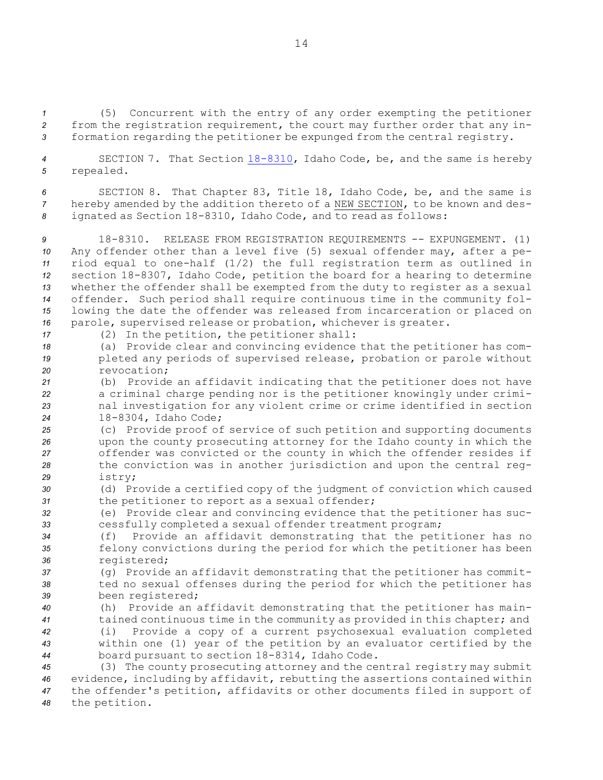*<sup>1</sup>* (5) Concurrent with the entry of any order exempting the petitioner *<sup>2</sup>* from the registration requirement, the court may further order that any in-*<sup>3</sup>* formation regarding the petitioner be expunged from the central registry.

*<sup>4</sup>* SECTION 7. That Section [18-8310](http://www.legislature.idaho.gov/idstat/Title18/T18CH83SECT18-8310.htm), Idaho Code, be, and the same is hereby *<sup>5</sup>* repealed.

*<sup>6</sup>* SECTION 8. That Chapter 83, Title 18, Idaho Code, be, and the same is *<sup>7</sup>* hereby amended by the addition thereto of <sup>a</sup> NEW SECTION, to be known and des-*<sup>8</sup>* ignated as Section 18-8310, Idaho Code, and to read as follows:

 18-8310. RELEASE FROM REGISTRATION REQUIREMENTS -- EXPUNGEMENT. (1) Any offender other than <sup>a</sup> level five (5) sexual offender may, after <sup>a</sup> pe- riod equal to one-half (1/2) the full registration term as outlined in section 18-8307, Idaho Code, petition the board for <sup>a</sup> hearing to determine whether the offender shall be exempted from the duty to register as <sup>a</sup> sexual offender. Such period shall require continuous time in the community fol- lowing the date the offender was released from incarceration or placed on parole, supervised release or probation, whichever is greater.

*<sup>17</sup>* (2) In the petition, the petitioner shall:

*<sup>18</sup>* (a) Provide clear and convincing evidence that the petitioner has com-*<sup>19</sup>* pleted any periods of supervised release, probation or parole without *20* revocation;

 (b) Provide an affidavit indicating that the petitioner does not have <sup>a</sup> criminal charge pending nor is the petitioner knowingly under crimi- nal investigation for any violent crime or crime identified in section 18-8304, Idaho Code;

 (c) Provide proof of service of such petition and supporting documents upon the county prosecuting attorney for the Idaho county in which the offender was convicted or the county in which the offender resides if the conviction was in another jurisdiction and upon the central reg-*<sup>29</sup>* istry;

*<sup>30</sup>* (d) Provide <sup>a</sup> certified copy of the judgment of conviction which caused *<sup>31</sup>* the petitioner to report as <sup>a</sup> sexual offender;

*<sup>32</sup>* (e) Provide clear and convincing evidence that the petitioner has suc-*<sup>33</sup>* cessfully completed <sup>a</sup> sexual offender treatment program;

*<sup>34</sup>* (f) Provide an affidavit demonstrating that the petitioner has no *<sup>35</sup>* felony convictions during the period for which the petitioner has been *<sup>36</sup>* registered;

*<sup>37</sup>* (g) Provide an affidavit demonstrating that the petitioner has commit-*<sup>38</sup>* ted no sexual offenses during the period for which the petitioner has *<sup>39</sup>* been registered;

 (h) Provide an affidavit demonstrating that the petitioner has main- tained continuous time in the community as provided in this chapter; and (i) Provide <sup>a</sup> copy of <sup>a</sup> current psychosexual evaluation completed within one (1) year of the petition by an evaluator certified by the board pursuant to section 18-8314, Idaho Code.

 (3) The county prosecuting attorney and the central registry may submit evidence, including by affidavit, rebutting the assertions contained within the offender's petition, affidavits or other documents filed in support of the petition.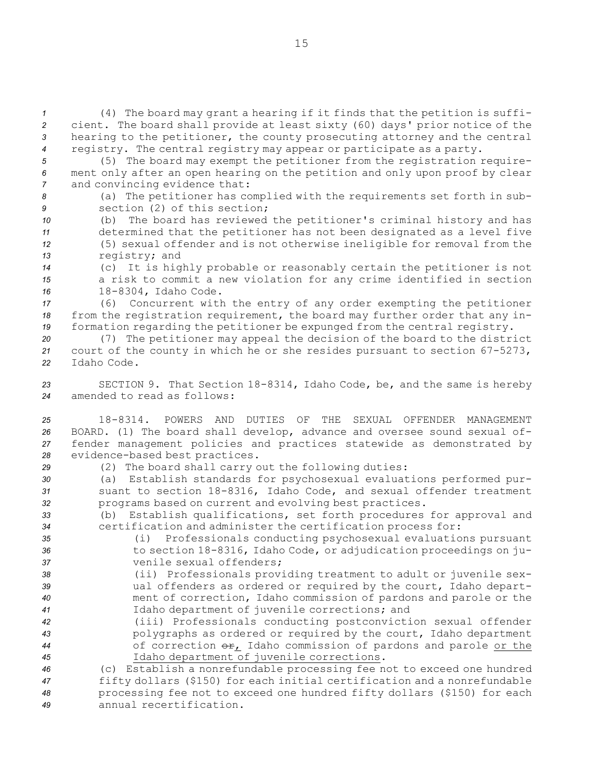(4) The board may grant <sup>a</sup> hearing if it finds that the petition is suffi- cient. The board shall provide at least sixty (60) days' prior notice of the hearing to the petitioner, the county prosecuting attorney and the central registry. The central registry may appear or participate as <sup>a</sup> party.

- *<sup>5</sup>* (5) The board may exempt the petitioner from the registration require-*<sup>6</sup>* ment only after an open hearing on the petition and only upon proof by clear *<sup>7</sup>* and convincing evidence that:
- 

*<sup>8</sup>* (a) The petitioner has complied with the requirements set forth in sub-*9* section (2) of this section;

 (b) The board has reviewed the petitioner's criminal history and has determined that the petitioner has not been designated as <sup>a</sup> level five (5) sexual offender and is not otherwise ineligible for removal from the registry; and

*<sup>14</sup>* (c) It is highly probable or reasonably certain the petitioner is not *<sup>15</sup>* <sup>a</sup> risk to commit <sup>a</sup> new violation for any crime identified in section *<sup>16</sup>* 18-8304, Idaho Code.

*<sup>17</sup>* (6) Concurrent with the entry of any order exempting the petitioner *<sup>18</sup>* from the registration requirement, the board may further order that any in-*<sup>19</sup>* formation regarding the petitioner be expunged from the central registry.

*<sup>20</sup>* (7) The petitioner may appeal the decision of the board to the district *<sup>21</sup>* court of the county in which he or she resides pursuant to section 67-5273, *22* Idaho Code.

*<sup>23</sup>* SECTION 9. That Section 18-8314, Idaho Code, be, and the same is hereby *24* amended to read as follows:

 18-8314. POWERS AND DUTIES OF THE SEXUAL OFFENDER MANAGEMENT BOARD. (1) The board shall develop, advance and oversee sound sexual of- fender management policies and practices statewide as demonstrated by evidence-based best practices.

*<sup>29</sup>* (2) The board shall carry out the following duties:

*<sup>30</sup>* (a) Establish standards for psychosexual evaluations performed pur-*<sup>31</sup>* suant to section 18-8316, Idaho Code, and sexual offender treatment *<sup>32</sup>* programs based on current and evolving best practices.

*<sup>33</sup>* (b) Establish qualifications, set forth procedures for approval and *<sup>34</sup>* certification and administer the certification process for:

*<sup>35</sup>* (i) Professionals conducting psychosexual evaluations pursuant *<sup>36</sup>* to section 18-8316, Idaho Code, or adjudication proceedings on ju-*37* venile sexual offenders;

 (ii) Professionals providing treatment to adult or juvenile sex- ual offenders as ordered or required by the court, Idaho depart- ment of correction, Idaho commission of pardons and parole or the Idaho department of juvenile corrections; and

 (iii) Professionals conducting postconviction sexual offender polygraphs as ordered or required by the court, Idaho department 44 of correction  $\Theta$ <sub>r</sub>, Idaho commission of pardons and parole or the Idaho department of juvenile corrections.

 (c) Establish <sup>a</sup> nonrefundable processing fee not to exceed one hundred fifty dollars (\$150) for each initial certification and <sup>a</sup> nonrefundable processing fee not to exceed one hundred fifty dollars (\$150) for each annual recertification.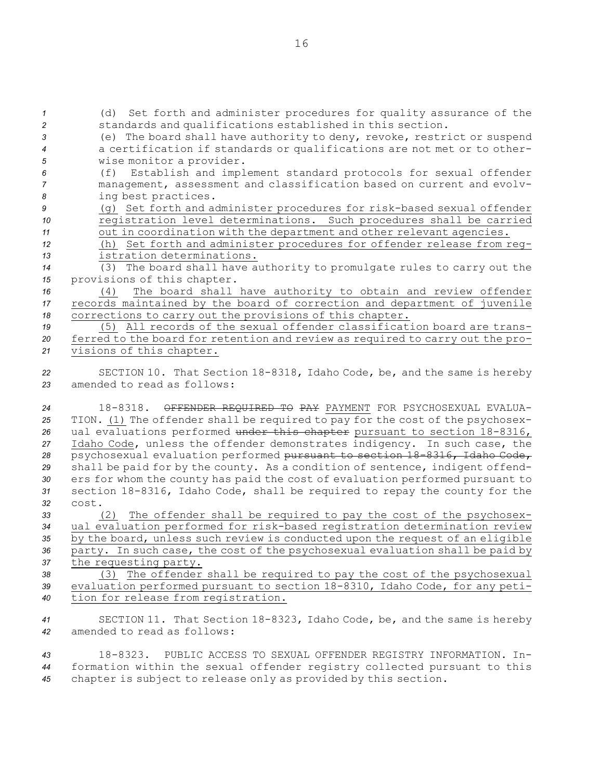(d) Set forth and administer procedures for quality assurance of the standards and qualifications established in this section. (e) The board shall have authority to deny, revoke, restrict or suspend <sup>a</sup> certification if standards or qualifications are not met or to other- wise monitor <sup>a</sup> provider. (f) Establish and implement standard protocols for sexual offender management, assessment and classification based on current and evolv- ing best practices. (g) Set forth and administer procedures for risk-based sexual offender registration level determinations. Such procedures shall be carried out in coordination with the department and other relevant agencies. (h) Set forth and administer procedures for offender release from reg- istration determinations. (3) The board shall have authority to promulgate rules to carry out the provisions of this chapter. (4) The board shall have authority to obtain and review offender records maintained by the board of correction and department of juvenile corrections to carry out the provisions of this chapter. (5) All records of the sexual offender classification board are trans- ferred to the board for retention and review as required to carry out the pro- visions of this chapter. SECTION 10. That Section 18-8318, Idaho Code, be, and the same is hereby amended to read as follows: 18-8318. OFFENDER REQUIRED TO PAY PAYMENT FOR PSYCHOSEXUAL EVALUA- TION. (1) The offender shall be required to pay for the cost of the psychosex- ual evaluations performed under this chapter pursuant to section 18-8316, Idaho Code, unless the offender demonstrates indigency. In such case, the psychosexual evaluation performed pursuant to section 18-8316, Idaho Code, shall be paid for by the county. As <sup>a</sup> condition of sentence, indigent offend- ers for whom the county has paid the cost of evaluation performed pursuant to section 18-8316, Idaho Code, shall be required to repay the county for the *32* cost. (2) The offender shall be required to pay the cost of the psychosex- ual evaluation performed for risk-based registration determination review by the board, unless such review is conducted upon the request of an eligible party. In such case, the cost of the psychosexual evaluation shall be paid by the requesting party. (3) The offender shall be required to pay the cost of the psychosexual evaluation performed pursuant to section 18-8310, Idaho Code, for any peti- tion for release from registration. SECTION 11. That Section 18-8323, Idaho Code, be, and the same is hereby amended to read as follows:

*43* 18-8323. PUBLIC ACCESS TO SEXUAL OFFENDER REGISTRY INFORMATION. In-*<sup>44</sup>* formation within the sexual offender registry collected pursuant to this *<sup>45</sup>* chapter is subject to release only as provided by this section.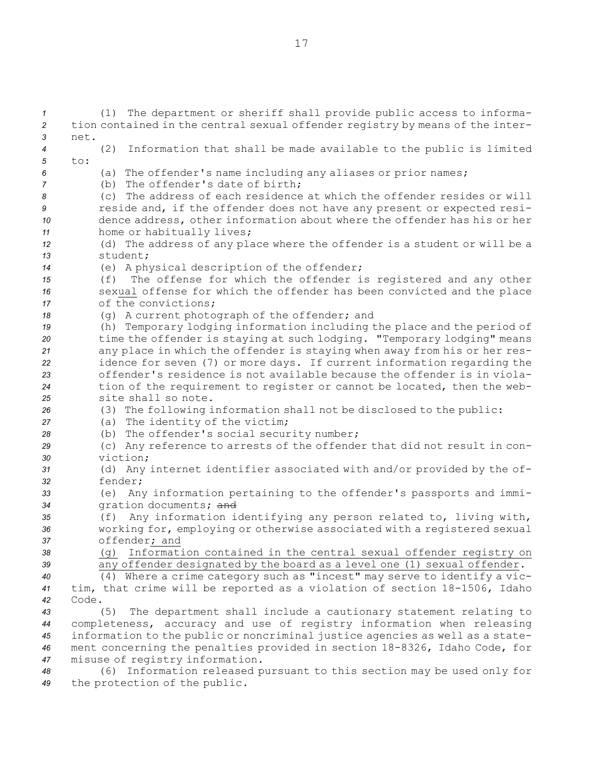(1) The department or sheriff shall provide public access to informa- tion contained in the central sexual offender registry by means of the inter-*3* net. (2) Information that shall be made available to the public is limited *5* to: (a) The offender's name including any aliases or prior names; (b) The offender's date of birth; (c) The address of each residence at which the offender resides or will reside and, if the offender does not have any present or expected resi- dence address, other information about where the offender has his or her home or habitually lives; (d) The address of any place where the offender is <sup>a</sup> student or will be <sup>a</sup> *13* student; (e) <sup>A</sup> physical description of the offender; (f) The offense for which the offender is registered and any other sexual offense for which the offender has been convicted and the place of the convictions; (g) A current photograph of the offender; and (h) Temporary lodging information including the place and the period of time the offender is staying at such lodging. "Temporary lodging" means any place in which the offender is staying when away from his or her res- idence for seven (7) or more days. If current information regarding the offender's residence is not available because the offender is in viola- tion of the requirement to register or cannot be located, then the web- site shall so note. (3) The following information shall not be disclosed to the public: (a) The identity of the victim; (b) The offender's social security number; (c) Any reference to arrests of the offender that did not result in con-*30* viction; (d) Any internet identifier associated with and/or provided by the of-*32* fender; (e) Any information pertaining to the offender's passports and immi- gration documents; and (f) Any information identifying any person related to, living with, working for, employing or otherwise associated with <sup>a</sup> registered sexual offender; and (g) Information contained in the central sexual offender registry on any offender designated by the board as <sup>a</sup> level one (1) sexual offender. (4) Where <sup>a</sup> crime category such as "incest" may serve to identify <sup>a</sup> vic- tim, that crime will be reported as <sup>a</sup> violation of section 18-1506, Idaho *42* Code. (5) The department shall include <sup>a</sup> cautionary statement relating to completeness, accuracy and use of registry information when releasing information to the public or noncriminal justice agencies as well as <sup>a</sup> state- ment concerning the penalties provided in section 18-8326, Idaho Code, for misuse of registry information. (6) Information released pursuant to this section may be used only for

*<sup>49</sup>* the protection of the public.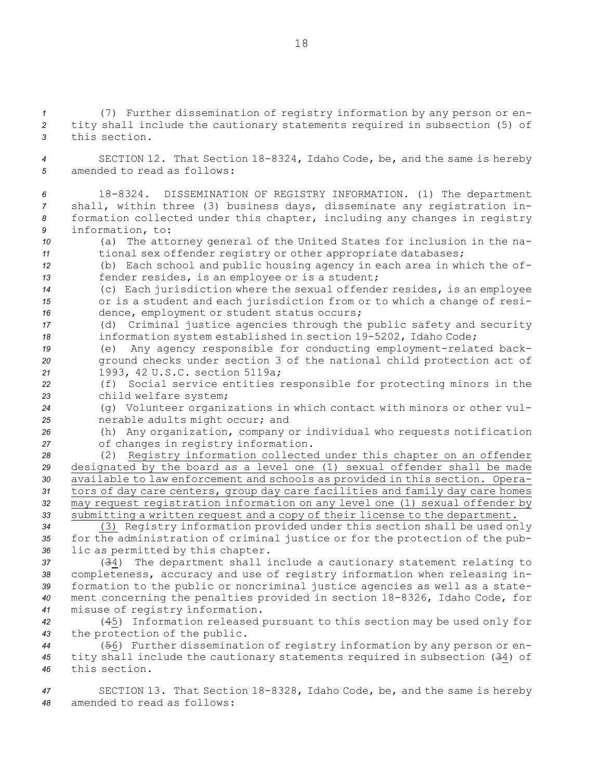*<sup>1</sup>* (7) Further dissemination of registry information by any person or en-*<sup>2</sup>* tity shall include the cautionary statements required in subsection (5) of *3* this section.

*<sup>4</sup>* SECTION 12. That Section 18-8324, Idaho Code, be, and the same is hereby *5* amended to read as follows:

 18-8324. DISSEMINATION OF REGISTRY INFORMATION. (1) The department shall, within three (3) business days, disseminate any registration in- formation collected under this chapter, including any changes in registry information, to:

*<sup>10</sup>* (a) The attorney general of the United States for inclusion in the na-*<sup>11</sup>* tional sex offender registry or other appropriate databases;

*<sup>12</sup>* (b) Each school and public housing agency in each area in which the of-*<sup>13</sup>* fender resides, is an employee or is <sup>a</sup> student;

*<sup>14</sup>* (c) Each jurisdiction where the sexual offender resides, is an employee *<sup>15</sup>* or is <sup>a</sup> student and each jurisdiction from or to which <sup>a</sup> change of resi-*<sup>16</sup>* dence, employment or student status occurs;

*<sup>17</sup>* (d) Criminal justice agencies through the public safety and security *<sup>18</sup>* information system established in section 19-5202, Idaho Code;

*<sup>19</sup>* (e) Any agency responsible for conducting employment-related back-*<sup>20</sup>* ground checks under section 3 of the national child protection act of *<sup>21</sup>* 1993, 42 U.S.C. section 5119a;

*<sup>22</sup>* (f) Social service entities responsible for protecting minors in the *<sup>23</sup>* child welfare system;

*<sup>24</sup>* (g) Volunteer organizations in which contact with minors or other vul-*<sup>25</sup>* nerable adults might occur; and

*<sup>26</sup>* (h) Any organization, company or individual who requests notification *<sup>27</sup>* of changes in registry information.

 (2) Registry information collected under this chapter on an offender designated by the board as <sup>a</sup> level one (1) sexual offender shall be made available to law enforcement and schools as provided in this section. Opera- tors of day care centers, group day care facilities and family day care homes may request registration information on any level one (1) sexual offender by submitting <sup>a</sup> written request and <sup>a</sup> copy of their license to the department.

*<sup>34</sup>* (3) Registry information provided under this section shall be used only *<sup>35</sup>* for the administration of criminal justice or for the protection of the pub-*<sup>36</sup>* lic as permitted by this chapter.

 (34) The department shall include <sup>a</sup> cautionary statement relating to completeness, accuracy and use of registry information when releasing in- formation to the public or noncriminal justice agencies as well as <sup>a</sup> state- ment concerning the penalties provided in section 18-8326, Idaho Code, for misuse of registry information.

*<sup>42</sup>* (45) Information released pursuant to this section may be used only for *<sup>43</sup>* the protection of the public.

*<sup>44</sup>* (56) Further dissemination of registry information by any person or en-*<sup>45</sup>* tity shall include the cautionary statements required in subsection (34) of *46* this section.

*<sup>47</sup>* SECTION 13. That Section 18-8328, Idaho Code, be, and the same is hereby *48* amended to read as follows: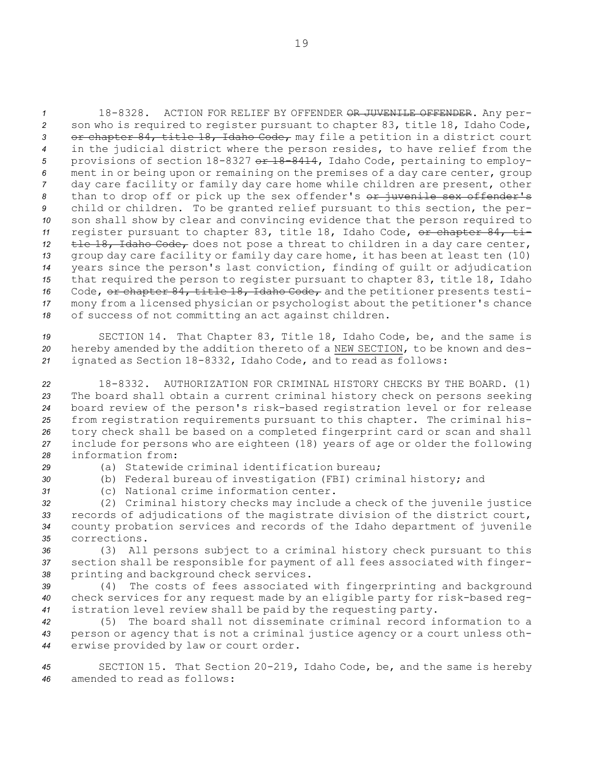18-8328. ACTION FOR RELIEF BY OFFENDER OR JUVENILE OFFENDER. Any per- son who is required to register pursuant to chapter 83, title 18, Idaho Code, 3 or chapter 84, title 18, Idaho Code, may file a petition in a district court in the judicial district where the person resides, to have relief from the provisions of section 18-8327 or 18-8414, Idaho Code, pertaining to employ- ment in or being upon or remaining on the premises of <sup>a</sup> day care center, group day care facility or family day care home while children are present, other 8 than to drop off or pick up the sex offender's or juvenile sex offender's child or children. To be granted relief pursuant to this section, the per- son shall show by clear and convincing evidence that the person required to 11 register pursuant to chapter 83, title 18, Idaho Code, or chapter 84, ti-12 the 18, Idaho Code, does not pose a threat to children in a day care center, group day care facility or family day care home, it has been at least ten (10) years since the person's last conviction, finding of guilt or adjudication that required the person to register pursuant to chapter 83, title 18, Idaho 16 Code, or chapter 84, title 18, Idaho Code, and the petitioner presents testi- mony from <sup>a</sup> licensed physician or psychologist about the petitioner's chance of success of not committing an act against children.

*<sup>19</sup>* SECTION 14. That Chapter 83, Title 18, Idaho Code, be, and the same is *<sup>20</sup>* hereby amended by the addition thereto of <sup>a</sup> NEW SECTION, to be known and des-*<sup>21</sup>* ignated as Section 18-8332, Idaho Code, and to read as follows:

 18-8332. AUTHORIZATION FOR CRIMINAL HISTORY CHECKS BY THE BOARD. (1) The board shall obtain <sup>a</sup> current criminal history check on persons seeking board review of the person's risk-based registration level or for release from registration requirements pursuant to this chapter. The criminal his- tory check shall be based on <sup>a</sup> completed fingerprint card or scan and shall include for persons who are eighteen (18) years of age or older the following information from:

- 
- *29* (a) Statewide criminal identification bureau;
- *<sup>30</sup>* (b) Federal bureau of investigation (FBI) criminal history; and
- *31* (c) National crime information center.

 (2) Criminal history checks may include <sup>a</sup> check of the juvenile justice records of adjudications of the magistrate division of the district court, county probation services and records of the Idaho department of juvenile corrections.

*<sup>36</sup>* (3) All persons subject to <sup>a</sup> criminal history check pursuant to this *<sup>37</sup>* section shall be responsible for payment of all fees associated with finger-*<sup>38</sup>* printing and background check services.

*<sup>39</sup>* (4) The costs of fees associated with fingerprinting and background *<sup>40</sup>* check services for any request made by an eligible party for risk-based reg-*<sup>41</sup>* istration level review shall be paid by the requesting party.

*<sup>42</sup>* (5) The board shall not disseminate criminal record information to <sup>a</sup> *<sup>43</sup>* person or agency that is not <sup>a</sup> criminal justice agency or <sup>a</sup> court unless oth-*<sup>44</sup>* erwise provided by law or court order.

*<sup>45</sup>* SECTION 15. That Section 20-219, Idaho Code, be, and the same is hereby *46* amended to read as follows: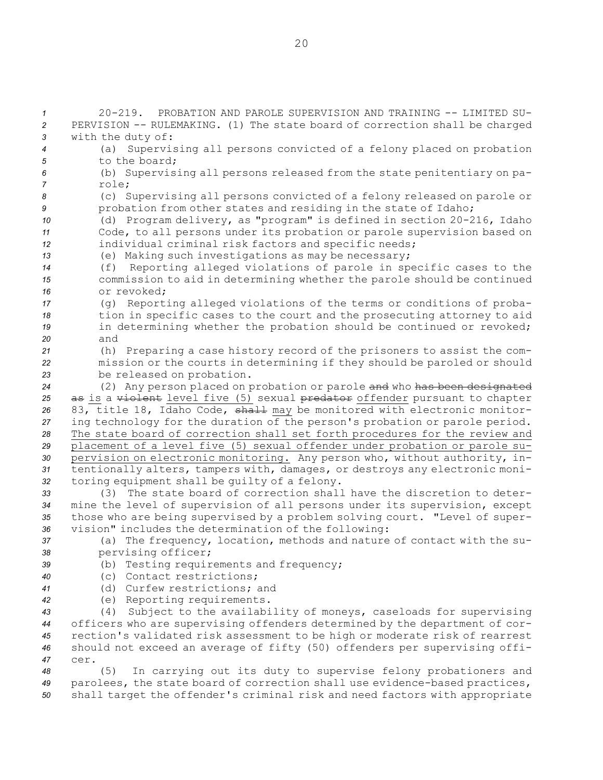20-219. PROBATION AND PAROLE SUPERVISION AND TRAINING -- LIMITED SU- PERVISION -- RULEMAKING. (1) The state board of correction shall be charged with the duty of: (a) Supervising all persons convicted of <sup>a</sup> felony placed on probation 5 to the board; (b) Supervising all persons released from the state penitentiary on pa-*7* role; (c) Supervising all persons convicted of <sup>a</sup> felony released on parole or probation from other states and residing in the state of Idaho; (d) Program delivery, as "program" is defined in section 20-216, Idaho Code, to all persons under its probation or parole supervision based on individual criminal risk factors and specific needs; (e) Making such investigations as may be necessary; (f) Reporting alleged violations of parole in specific cases to the commission to aid in determining whether the parole should be continued or revoked; (g) Reporting alleged violations of the terms or conditions of proba- tion in specific cases to the court and the prosecuting attorney to aid **in determining whether the probation should be continued or revoked;** *20* and (h) Preparing <sup>a</sup> case history record of the prisoners to assist the com- mission or the courts in determining if they should be paroled or should be released on probation. (2) Any person placed on probation or parole and who has been designated 25 as is a violent level five (5) sexual predator offender pursuant to chapter 26 83, title 18, Idaho Code, shall may be monitored with electronic monitor- ing technology for the duration of the person's probation or parole period. The state board of correction shall set forth procedures for the review and placement of <sup>a</sup> level five (5) sexual offender under probation or parole su- pervision on electronic monitoring. Any person who, without authority, in- tentionally alters, tampers with, damages, or destroys any electronic moni- toring equipment shall be guilty of <sup>a</sup> felony. (3) The state board of correction shall have the discretion to deter- mine the level of supervision of all persons under its supervision, except those who are being supervised by <sup>a</sup> problem solving court. "Level of super- vision" includes the determination of the following: (a) The frequency, location, methods and nature of contact with the su- pervising officer; (b) Testing requirements and frequency; (c) Contact restrictions; (d) Curfew restrictions; and (e) Reporting requirements. (4) Subject to the availability of moneys, caseloads for supervising officers who are supervising offenders determined by the department of cor- rection's validated risk assessment to be high or moderate risk of rearrest should not exceed an average of fifty (50) offenders per supervising offi-*47* cer. (5) In carrying out its duty to supervise felony probationers and parolees, the state board of correction shall use evidence-based practices, shall target the offender's criminal risk and need factors with appropriate

20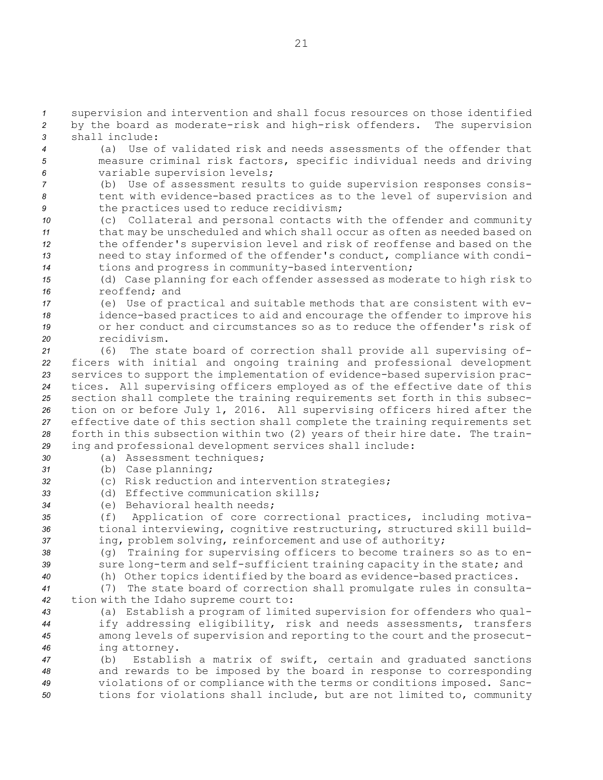*<sup>1</sup>* supervision and intervention and shall focus resources on those identified *<sup>2</sup>* by the board as moderate-risk and high-risk offenders. The supervision *3* shall include:

- *<sup>4</sup>* (a) Use of validated risk and needs assessments of the offender that *<sup>5</sup>* measure criminal risk factors, specific individual needs and driving *<sup>6</sup>* variable supervision levels;
- *<sup>7</sup>* (b) Use of assessment results to guide supervision responses consis-*<sup>8</sup>* tent with evidence-based practices as to the level of supervision and *<sup>9</sup>* the practices used to reduce recidivism;
- *<sup>10</sup>* (c) Collateral and personal contacts with the offender and community *<sup>11</sup>* that may be unscheduled and which shall occur as often as needed based on *<sup>12</sup>* the offender's supervision level and risk of reoffense and based on the *<sup>13</sup>* need to stay informed of the offender's conduct, compliance with condi-*<sup>14</sup>* tions and progress in community-based intervention;
- *<sup>15</sup>* (d) Case planning for each offender assessed as moderate to high risk to *16* reoffend; and
- *<sup>17</sup>* (e) Use of practical and suitable methods that are consistent with ev-*<sup>18</sup>* idence-based practices to aid and encourage the offender to improve his *19* or her conduct and circumstances so as to reduce the offender's risk of *20* recidivism.
- *<sup>21</sup>* (6) The state board of correction shall provide all supervising of-*<sup>22</sup>* ficers with initial and ongoing training and professional development *<sup>23</sup>* services to support the implementation of evidence-based supervision prac-*<sup>24</sup>* tices. All supervising officers employed as of the effective date of this *<sup>25</sup>* section shall complete the training requirements set forth in this subsec-*<sup>26</sup>* tion on or before July 1, 2016. All supervising officers hired after the *<sup>27</sup>* effective date of this section shall complete the training requirements set *<sup>28</sup>* forth in this subsection within two (2) years of their hire date. The train-*<sup>29</sup>* ing and professional development services shall include:
- *<sup>30</sup>* (a) Assessment techniques;
- *<sup>31</sup>* (b) Case planning;
- *<sup>32</sup>* (c) Risk reduction and intervention strategies;
- *33* (d) Effective communication skills;
- *34* (e) Behavioral health needs;
- *<sup>35</sup>* (f) Application of core correctional practices, including motiva-*<sup>36</sup>* tional interviewing, cognitive restructuring, structured skill build-*<sup>37</sup>* ing, problem solving, reinforcement and use of authority;
- *<sup>38</sup>* (g) Training for supervising officers to become trainers so as to en-*<sup>39</sup>* sure long-term and self-sufficient training capacity in the state; and
- *<sup>40</sup>* (h) Other topics identified by the board as evidence-based practices.
- *<sup>41</sup>* (7) The state board of correction shall promulgate rules in consulta-*<sup>42</sup>* tion with the Idaho supreme court to:
- *<sup>43</sup>* (a) Establish <sup>a</sup> program of limited supervision for offenders who qual-*<sup>44</sup>* ify addressing eligibility, risk and needs assessments, transfers *<sup>45</sup>* among levels of supervision and reporting to the court and the prosecut-*<sup>46</sup>* ing attorney.
- *<sup>47</sup>* (b) Establish <sup>a</sup> matrix of swift, certain and graduated sanctions *<sup>48</sup>* and rewards to be imposed by the board in response to corresponding *<sup>49</sup>* violations of or compliance with the terms or conditions imposed. Sanc-*<sup>50</sup>* tions for violations shall include, but are not limited to, community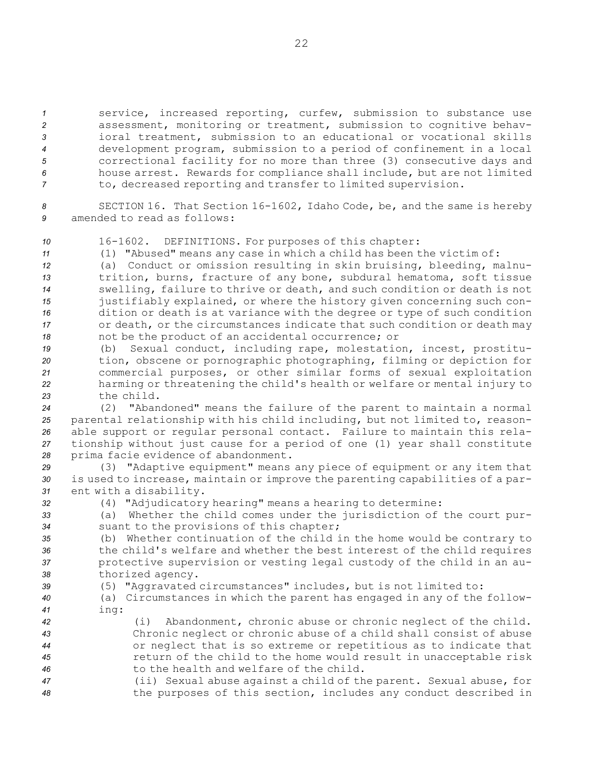service, increased reporting, curfew, submission to substance use assessment, monitoring or treatment, submission to cognitive behav- ioral treatment, submission to an educational or vocational skills development program, submission to <sup>a</sup> period of confinement in <sup>a</sup> local correctional facility for no more than three (3) consecutive days and house arrest. Rewards for compliance shall include, but are not limited to, decreased reporting and transfer to limited supervision.

*<sup>8</sup>* SECTION 16. That Section 16-1602, Idaho Code, be, and the same is hereby *9* amended to read as follows:

*<sup>10</sup>* 16-1602. DEFINITIONS. For purposes of this chapter:

*<sup>11</sup>* (1) "Abused" means any case in which <sup>a</sup> child has been the victim of:

 (a) Conduct or omission resulting in skin bruising, bleeding, malnu- trition, burns, fracture of any bone, subdural hematoma, soft tissue swelling, failure to thrive or death, and such condition or death is not justifiably explained, or where the history given concerning such con- dition or death is at variance with the degree or type of such condition or death, or the circumstances indicate that such condition or death may not be the product of an accidental occurrence; or

 (b) Sexual conduct, including rape, molestation, incest, prostitu- tion, obscene or pornographic photographing, filming or depiction for commercial purposes, or other similar forms of sexual exploitation harming or threatening the child's health or welfare or mental injury to the child.

 (2) "Abandoned" means the failure of the parent to maintain <sup>a</sup> normal parental relationship with his child including, but not limited to, reason- able support or regular personal contact. Failure to maintain this rela- tionship without just cause for <sup>a</sup> period of one (1) year shall constitute prima facie evidence of abandonment.

- *<sup>29</sup>* (3) "Adaptive equipment" means any piece of equipment or any item that *<sup>30</sup>* is used to increase, maintain or improve the parenting capabilities of <sup>a</sup> par-*<sup>31</sup>* ent with <sup>a</sup> disability.
- 

*<sup>32</sup>* (4) "Adjudicatory hearing" means <sup>a</sup> hearing to determine:

*<sup>33</sup>* (a) Whether the child comes under the jurisdiction of the court pur-*<sup>34</sup>* suant to the provisions of this chapter;

 (b) Whether continuation of the child in the home would be contrary to the child's welfare and whether the best interest of the child requires protective supervision or vesting legal custody of the child in an au-thorized agency.

*<sup>39</sup>* (5) "Aggravated circumstances" includes, but is not limited to:

- *<sup>40</sup>* (a) Circumstances in which the parent has engaged in any of the follow-*<sup>41</sup>* ing:
- *<sup>42</sup>* (i) Abandonment, chronic abuse or chronic neglect of the child. *<sup>43</sup>* Chronic neglect or chronic abuse of <sup>a</sup> child shall consist of abuse *<sup>44</sup>* or neglect that is so extreme or repetitious as to indicate that *<sup>45</sup>* return of the child to the home would result in unacceptable risk *46* to the health and welfare of the child.
- *<sup>47</sup>* (ii) Sexual abuse against <sup>a</sup> child of the parent. Sexual abuse, for *<sup>48</sup>* the purposes of this section, includes any conduct described in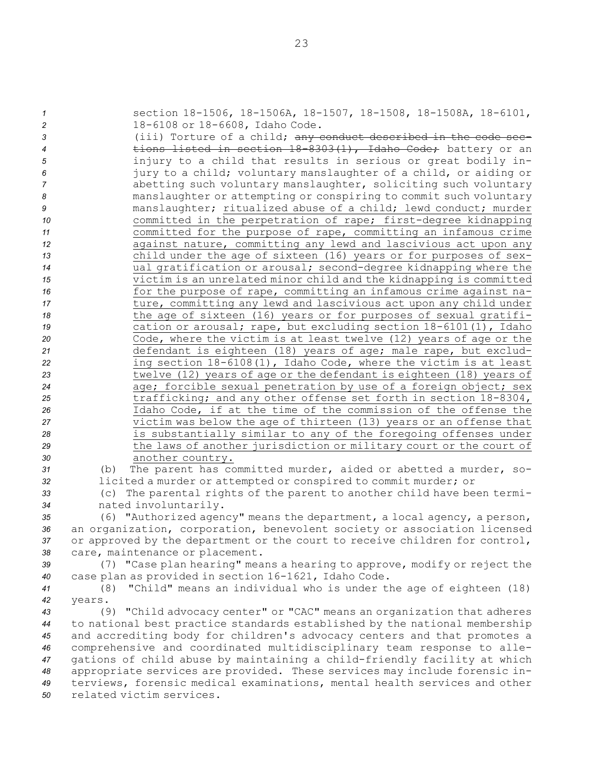section 18-1506, 18-1506A, 18-1507, 18-1508, 18-1508A, 18-6101, 18-6108 or 18-6608, Idaho Code. (iii) Torture of <sup>a</sup> child; any conduct described in the code sec- tions listed in section 18-8303(1), Idaho Code; battery or an injury to <sup>a</sup> child that results in serious or great bodily in- jury to <sup>a</sup> child; voluntary manslaughter of <sup>a</sup> child, or aiding or abetting such voluntary manslaughter, soliciting such voluntary manslaughter or attempting or conspiring to commit such voluntary manslaughter; ritualized abuse of <sup>a</sup> child; lewd conduct; murder committed in the perpetration of rape; first-degree kidnapping committed for the purpose of rape, committing an infamous crime against nature, committing any lewd and lascivious act upon any child under the age of sixteen (16) years or for purposes of sex- ual gratification or arousal; second-degree kidnapping where the victim is an unrelated minor child and the kidnapping is committed **for the purpose of rape, committing an infamous crime against na-** ture, committing any lewd and lascivious act upon any child under the age of sixteen (16) years or for purposes of sexual gratifi- cation or arousal; rape, but excluding section 18-6101(1), Idaho Code, where the victim is at least twelve (12) years of age or the defendant is eighteen (18) years of age; male rape, but exclud- ing section 18-6108(1), Idaho Code, where the victim is at least twelve (12) years of age or the defendant is eighteen (18) years of age; forcible sexual penetration by use of <sup>a</sup> foreign object; sex trafficking; and any other offense set forth in section 18-8304, Idaho Code, if at the time of the commission of the offense the victim was below the age of thirteen (13) years or an offense that is substantially similar to any of the foregoing offenses under the laws of another jurisdiction or military court or the court of another country. (b) The parent has committed murder, aided or abetted <sup>a</sup> murder, so- licited <sup>a</sup> murder or attempted or conspired to commit murder; or (c) The parental rights of the parent to another child have been termi- nated involuntarily. (6) "Authorized agency" means the department, <sup>a</sup> local agency, <sup>a</sup> person, an organization, corporation, benevolent society or association licensed or approved by the department or the court to receive children for control, care, maintenance or placement. (7) "Case plan hearing" means <sup>a</sup> hearing to approve, modify or reject the case plan as provided in section 16-1621, Idaho Code. (8) "Child" means an individual who is under the age of eighteen (18) *42* years. (9) "Child advocacy center" or "CAC" means an organization that adheres to national best practice standards established by the national membership

 and accrediting body for children's advocacy centers and that promotes <sup>a</sup> comprehensive and coordinated multidisciplinary team response to alle- gations of child abuse by maintaining <sup>a</sup> child-friendly facility at which appropriate services are provided. These services may include forensic in- terviews, forensic medical examinations, mental health services and other related victim services.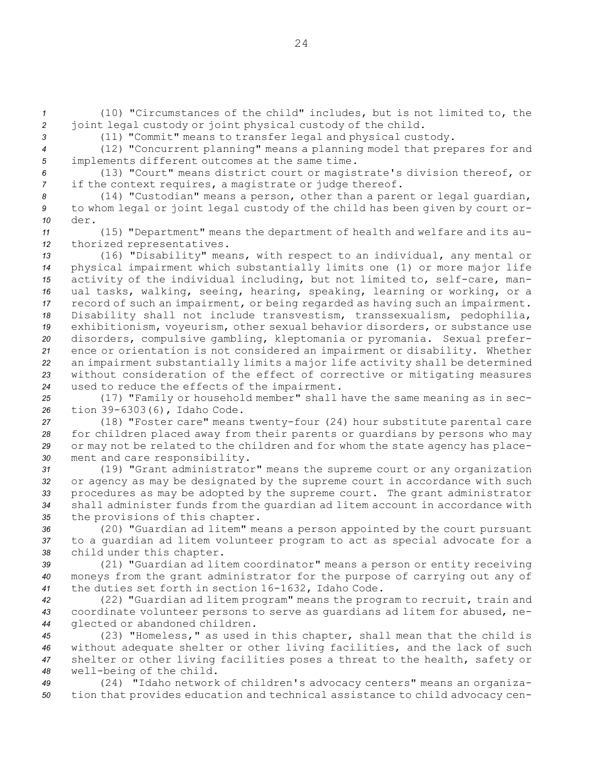*<sup>1</sup>* (10) "Circumstances of the child" includes, but is not limited to, the *<sup>2</sup>* joint legal custody or joint physical custody of the child.

*<sup>3</sup>* (11) "Commit" means to transfer legal and physical custody.

*<sup>4</sup>* (12) "Concurrent planning" means <sup>a</sup> planning model that prepares for and *<sup>5</sup>* implements different outcomes at the same time.

*<sup>6</sup>* (13) "Court" means district court or magistrate's division thereof, or *<sup>7</sup>* if the context requires, <sup>a</sup> magistrate or judge thereof.

*<sup>8</sup>* (14) "Custodian" means <sup>a</sup> person, other than <sup>a</sup> parent or legal guardian, *<sup>9</sup>* to whom legal or joint legal custody of the child has been given by court or-*10* der.

*<sup>11</sup>* (15) "Department" means the department of health and welfare and its au-*<sup>12</sup>* thorized representatives.

 (16) "Disability" means, with respect to an individual, any mental or physical impairment which substantially limits one (1) or more major life activity of the individual including, but not limited to, self-care, man- ual tasks, walking, seeing, hearing, speaking, learning or working, or <sup>a</sup> record of such an impairment, or being regarded as having such an impairment. Disability shall not include transvestism, transsexualism, pedophilia, exhibitionism, voyeurism, other sexual behavior disorders, or substance use disorders, compulsive gambling, kleptomania or pyromania. Sexual prefer- ence or orientation is not considered an impairment or disability. Whether an impairment substantially limits <sup>a</sup> major life activity shall be determined without consideration of the effect of corrective or mitigating measures used to reduce the effects of the impairment.

*<sup>25</sup>* (17) "Family or household member" shall have the same meaning as in sec-*<sup>26</sup>* tion 39-6303(6), Idaho Code.

 (18) "Foster care" means twenty-four (24) hour substitute parental care for children placed away from their parents or guardians by persons who may or may not be related to the children and for whom the state agency has place-ment and care responsibility.

 (19) "Grant administrator" means the supreme court or any organization or agency as may be designated by the supreme court in accordance with such procedures as may be adopted by the supreme court. The grant administrator shall administer funds from the guardian ad litem account in accordance with the provisions of this chapter.

*<sup>36</sup>* (20) "Guardian ad litem" means <sup>a</sup> person appointed by the court pursuant *<sup>37</sup>* to <sup>a</sup> guardian ad litem volunteer program to act as special advocate for <sup>a</sup> *<sup>38</sup>* child under this chapter.

*<sup>39</sup>* (21) "Guardian ad litem coordinator" means <sup>a</sup> person or entity receiving *<sup>40</sup>* moneys from the grant administrator for the purpose of carrying out any of *<sup>41</sup>* the duties set forth in section 16-1632, Idaho Code.

*<sup>42</sup>* (22) "Guardian ad litem program" means the program to recruit, train and *<sup>43</sup>* coordinate volunteer persons to serve as guardians ad litem for abused, ne-*<sup>44</sup>* glected or abandoned children.

 (23) "Homeless," as used in this chapter, shall mean that the child is without adequate shelter or other living facilities, and the lack of such shelter or other living facilities poses <sup>a</sup> threat to the health, safety or well-being of the child.

*<sup>49</sup>* (24) "Idaho network of children's advocacy centers" means an organiza-*<sup>50</sup>* tion that provides education and technical assistance to child advocacy cen-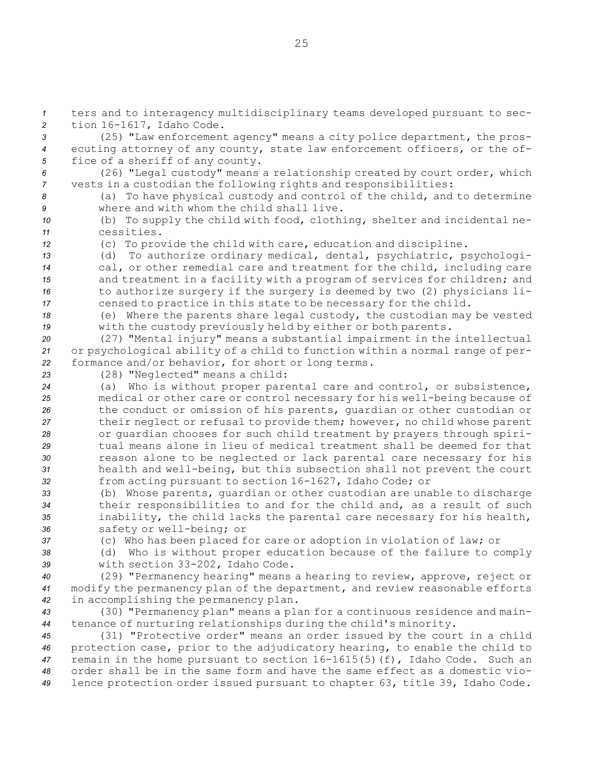*<sup>1</sup>* ters and to interagency multidisciplinary teams developed pursuant to sec-*<sup>2</sup>* tion 16-1617, Idaho Code.

*<sup>3</sup>* (25) "Law enforcement agency" means <sup>a</sup> city police department, the pros-*<sup>4</sup>* ecuting attorney of any county, state law enforcement officers, or the of-*<sup>5</sup>* fice of <sup>a</sup> sheriff of any county.

*<sup>6</sup>* (26) "Legal custody" means <sup>a</sup> relationship created by court order, which *<sup>7</sup>* vests in <sup>a</sup> custodian the following rights and responsibilities:

*<sup>8</sup>* (a) To have physical custody and control of the child, and to determine *9* where and with whom the child shall live.

*<sup>10</sup>* (b) To supply the child with food, clothing, shelter and incidental ne-*11* cessities.

*<sup>12</sup>* (c) To provide the child with care, education and discipline.

 (d) To authorize ordinary medical, dental, psychiatric, psychologi- cal, or other remedial care and treatment for the child, including care and treatment in <sup>a</sup> facility with <sup>a</sup> program of services for children; and to authorize surgery if the surgery is deemed by two (2) physicians li-censed to practice in this state to be necessary for the child.

*<sup>18</sup>* (e) Where the parents share legal custody, the custodian may be vested *<sup>19</sup>* with the custody previously held by either or both parents.

*<sup>20</sup>* (27) "Mental injury" means <sup>a</sup> substantial impairment in the intellectual *<sup>21</sup>* or psychological ability of <sup>a</sup> child to function within <sup>a</sup> normal range of per-*<sup>22</sup>* formance and/or behavior, for short or long terms.

*<sup>23</sup>* (28) "Neglected" means <sup>a</sup> child:

 (a) Who is without proper parental care and control, or subsistence, medical or other care or control necessary for his well-being because of the conduct or omission of his parents, guardian or other custodian or their neglect or refusal to provide them; however, no child whose parent or guardian chooses for such child treatment by prayers through spiri- tual means alone in lieu of medical treatment shall be deemed for that reason alone to be neglected or lack parental care necessary for his health and well-being, but this subsection shall not prevent the court from acting pursuant to section 16-1627, Idaho Code; or

 (b) Whose parents, guardian or other custodian are unable to discharge their responsibilities to and for the child and, as <sup>a</sup> result of such inability, the child lacks the parental care necessary for his health, safety or well-being; or

*<sup>37</sup>* (c) Who has been placed for care or adoption in violation of law; or

*<sup>38</sup>* (d) Who is without proper education because of the failure to comply

*<sup>39</sup>* with section 33-202, Idaho Code.

*<sup>40</sup>* (29) "Permanency hearing" means <sup>a</sup> hearing to review, approve, reject or *<sup>41</sup>* modify the permanency plan of the department, and review reasonable efforts *<sup>42</sup>* in accomplishing the permanency plan.

*<sup>43</sup>* (30) "Permanency plan" means <sup>a</sup> plan for <sup>a</sup> continuous residence and main-*<sup>44</sup>* tenance of nurturing relationships during the child's minority.

 (31) "Protective order" means an order issued by the court in <sup>a</sup> child protection case, prior to the adjudicatory hearing, to enable the child to remain in the home pursuant to section 16-1615(5)(f), Idaho Code. Such an order shall be in the same form and have the same effect as <sup>a</sup> domestic vio-lence protection order issued pursuant to chapter 63, title 39, Idaho Code.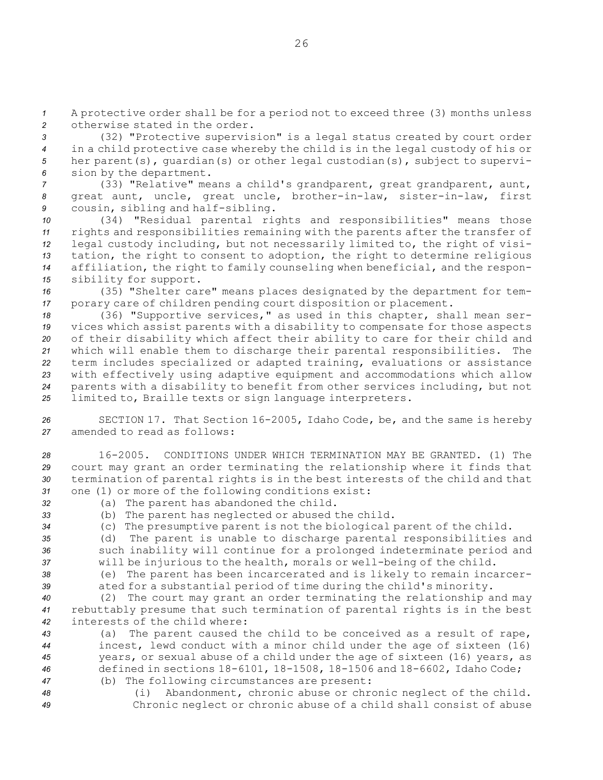*<sup>1</sup>* <sup>A</sup> protective order shall be for <sup>a</sup> period not to exceed three (3) months unless *2* otherwise stated in the order.

 (32) "Protective supervision" is <sup>a</sup> legal status created by court order in <sup>a</sup> child protective case whereby the child is in the legal custody of his or her parent(s), guardian(s) or other legal custodian(s), subject to supervi-sion by the department.

*<sup>7</sup>* (33) "Relative" means <sup>a</sup> child's grandparent, great grandparent, aunt, *<sup>8</sup>* great aunt, uncle, great uncle, brother-in-law, sister-in-law, first *<sup>9</sup>* cousin, sibling and half-sibling.

 (34) "Residual parental rights and responsibilities" means those rights and responsibilities remaining with the parents after the transfer of legal custody including, but not necessarily limited to, the right of visi- tation, the right to consent to adoption, the right to determine religious affiliation, the right to family counseling when beneficial, and the respon-sibility for support.

*<sup>16</sup>* (35) "Shelter care" means places designated by the department for tem-*<sup>17</sup>* porary care of children pending court disposition or placement.

 (36) "Supportive services," as used in this chapter, shall mean ser- vices which assist parents with <sup>a</sup> disability to compensate for those aspects of their disability which affect their ability to care for their child and which will enable them to discharge their parental responsibilities. The term includes specialized or adapted training, evaluations or assistance with effectively using adaptive equipment and accommodations which allow parents with <sup>a</sup> disability to benefit from other services including, but not limited to, Braille texts or sign language interpreters.

*<sup>26</sup>* SECTION 17. That Section 16-2005, Idaho Code, be, and the same is hereby *27* amended to read as follows:

 16-2005. CONDITIONS UNDER WHICH TERMINATION MAY BE GRANTED. (1) The court may grant an order terminating the relationship where it finds that termination of parental rights is in the best interests of the child and that one (1) or more of the following conditions exist:

- *<sup>32</sup>* (a) The parent has abandoned the child.
- *<sup>33</sup>* (b) The parent has neglected or abused the child.
- *<sup>34</sup>* (c) The presumptive parent is not the biological parent of the child.

*<sup>35</sup>* (d) The parent is unable to discharge parental responsibilities and *<sup>36</sup>* such inability will continue for <sup>a</sup> prolonged indeterminate period and

*<sup>37</sup>* will be injurious to the health, morals or well-being of the child. *<sup>38</sup>* (e) The parent has been incarcerated and is likely to remain incarcer-

*<sup>39</sup>* ated for <sup>a</sup> substantial period of time during the child's minority.

*<sup>40</sup>* (2) The court may grant an order terminating the relationship and may *<sup>41</sup>* rebuttably presume that such termination of parental rights is in the best *42* interests of the child where:

 (a) The parent caused the child to be conceived as <sup>a</sup> result of rape, incest, lewd conduct with <sup>a</sup> minor child under the age of sixteen (16) years, or sexual abuse of <sup>a</sup> child under the age of sixteen (16) years, as defined in sections 18-6101, 18-1508, 18-1506 and 18-6602, Idaho Code; (b) The following circumstances are present:

*<sup>48</sup>* (i) Abandonment, chronic abuse or chronic neglect of the child. *<sup>49</sup>* Chronic neglect or chronic abuse of <sup>a</sup> child shall consist of abuse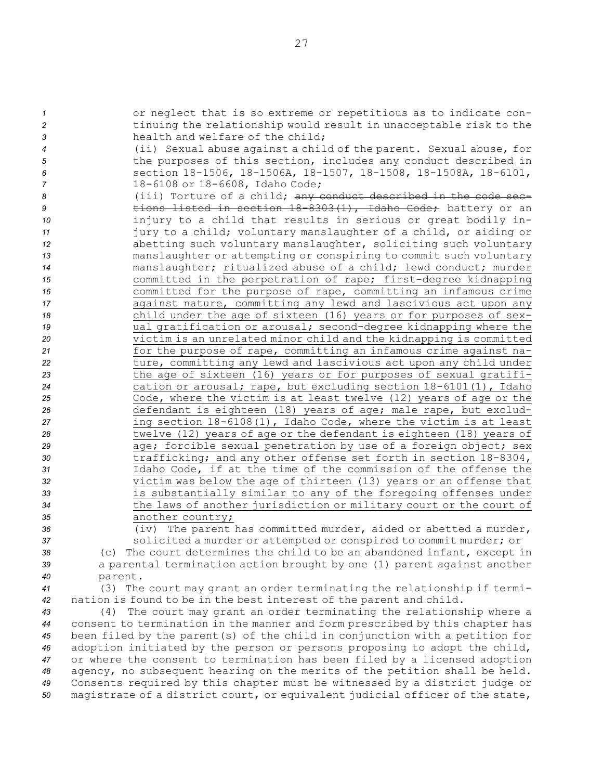or neglect that is so extreme or repetitious as to indicate con- tinuing the relationship would result in unacceptable risk to the health and welfare of the child; (ii) Sexual abuse against <sup>a</sup> child of the parent. Sexual abuse, for the purposes of this section, includes any conduct described in section 18-1506, 18-1506A, 18-1507, 18-1508, 18-1508A, 18-6101, 18-6108 or 18-6608, Idaho Code; 8 (iii) Torture of a child; any conduct described in the code sec- tions listed in section 18-8303(1), Idaho Code; battery or an injury to <sup>a</sup> child that results in serious or great bodily in- jury to <sup>a</sup> child; voluntary manslaughter of <sup>a</sup> child, or aiding or abetting such voluntary manslaughter, soliciting such voluntary manslaughter or attempting or conspiring to commit such voluntary manslaughter; ritualized abuse of <sup>a</sup> child; lewd conduct; murder committed in the perpetration of rape; first-degree kidnapping committed for the purpose of rape, committing an infamous crime **17 against nature, committing any lewd and lascivious act upon any**  child under the age of sixteen (16) years or for purposes of sex- ual gratification or arousal; second-degree kidnapping where the victim is an unrelated minor child and the kidnapping is committed for the purpose of rape, committing an infamous crime against na- ture, committing any lewd and lascivious act upon any child under the age of sixteen (16) years or for purposes of sexual gratifi- cation or arousal; rape, but excluding section 18-6101(1), Idaho Code, where the victim is at least twelve (12) years of age or the defendant is eighteen (18) years of age; male rape, but exclud- ing section 18-6108(1), Idaho Code, where the victim is at least twelve (12) years of age or the defendant is eighteen (18) years of **age;** forcible sexual penetration by use of a foreign object; sex trafficking; and any other offense set forth in section 18-8304, Idaho Code, if at the time of the commission of the offense the victim was below the age of thirteen (13) years or an offense that is substantially similar to any of the foregoing offenses under the laws of another jurisdiction or military court or the court of another country; (iv) The parent has committed murder, aided or abetted <sup>a</sup> murder,

*<sup>37</sup>* solicited <sup>a</sup> murder or attempted or conspired to commit murder; or *<sup>38</sup>* (c) The court determines the child to be an abandoned infant, except in

*<sup>39</sup>* <sup>a</sup> parental termination action brought by one (1) parent against another *40* parent.

*<sup>41</sup>* (3) The court may grant an order terminating the relationship if termi-*<sup>42</sup>* nation is found to be in the best interest of the parent and child.

 (4) The court may grant an order terminating the relationship where <sup>a</sup> consent to termination in the manner and form prescribed by this chapter has been filed by the parent(s) of the child in conjunction with <sup>a</sup> petition for adoption initiated by the person or persons proposing to adopt the child, or where the consent to termination has been filed by <sup>a</sup> licensed adoption agency, no subsequent hearing on the merits of the petition shall be held. Consents required by this chapter must be witnessed by <sup>a</sup> district judge or magistrate of <sup>a</sup> district court, or equivalent judicial officer of the state,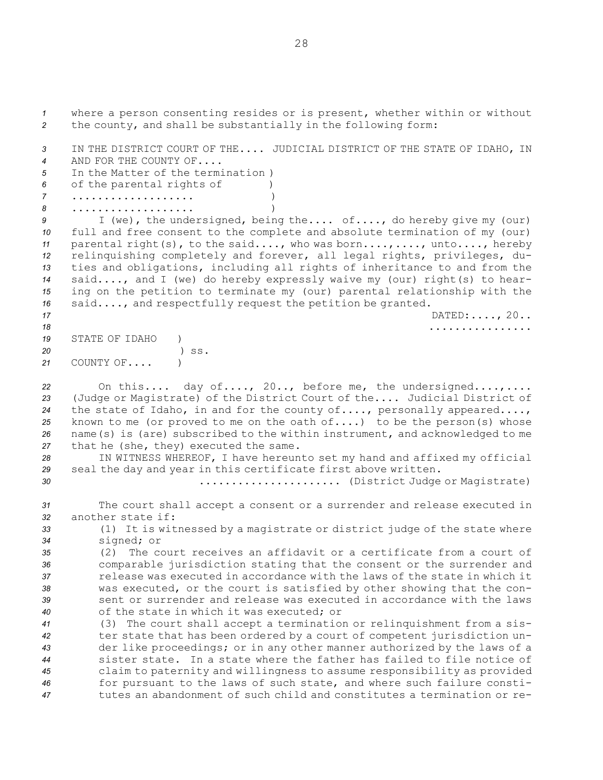where <sup>a</sup> person consenting resides or is present, whether within or without the county, and shall be substantially in the following form: IN THE DISTRICT COURT OF THE.... JUDICIAL DISTRICT OF THE STATE OF IDAHO, IN AND FOR THE COUNTY OF.... In the Matter of the termination ) of the parental rights of ) ................... ) ................... ) <sup>I</sup> (we), the undersigned, being the.... of...., do hereby give my (our) full and free consent to the complete and absolute termination of my (our) parental right(s), to the said...., who was born....,...., unto...., hereby relinquishing completely and forever, all legal rights, privileges, du- ties and obligations, including all rights of inheritance to and from the said...., and <sup>I</sup> (we) do hereby expressly waive my (our) right(s) to hear- ing on the petition to terminate my (our) parental relationship with the said...., and respectfully request the petition be granted. DATED:...., 20.. ................ STATE OF IDAHO ) *20* ) ss. COUNTY OF.... ) On this.... day of...., 20.., before me, the undersigned....,.... (Judge or Magistrate) of the District Court of the.... Judicial District of the state of Idaho, in and for the county of...., personally appeared...., known to me (or proved to me on the oath of....) to be the person(s) whose name(s) is (are) subscribed to the within instrument, and acknowledged to me that he (she, they) executed the same. IN WITNESS WHEREOF, <sup>I</sup> have hereunto set my hand and affixed my official seal the day and year in this certificate first above written. ...................... (District Judge or Magistrate) The court shall accept <sup>a</sup> consent or <sup>a</sup> surrender and release executed in another state if: (1) It is witnessed by <sup>a</sup> magistrate or district judge of the state where signed; or (2) The court receives an affidavit or <sup>a</sup> certificate from <sup>a</sup> court of comparable jurisdiction stating that the consent or the surrender and release was executed in accordance with the laws of the state in which it was executed, or the court is satisfied by other showing that the con- sent or surrender and release was executed in accordance with the laws of the state in which it was executed; or (3) The court shall accept <sup>a</sup> termination or relinquishment from <sup>a</sup> sis- ter state that has been ordered by <sup>a</sup> court of competent jurisdiction un- der like proceedings; or in any other manner authorized by the laws of <sup>a</sup> sister state. In <sup>a</sup> state where the father has failed to file notice of claim to paternity and willingness to assume responsibility as provided for pursuant to the laws of such state, and where such failure consti-tutes an abandonment of such child and constitutes <sup>a</sup> termination or re-